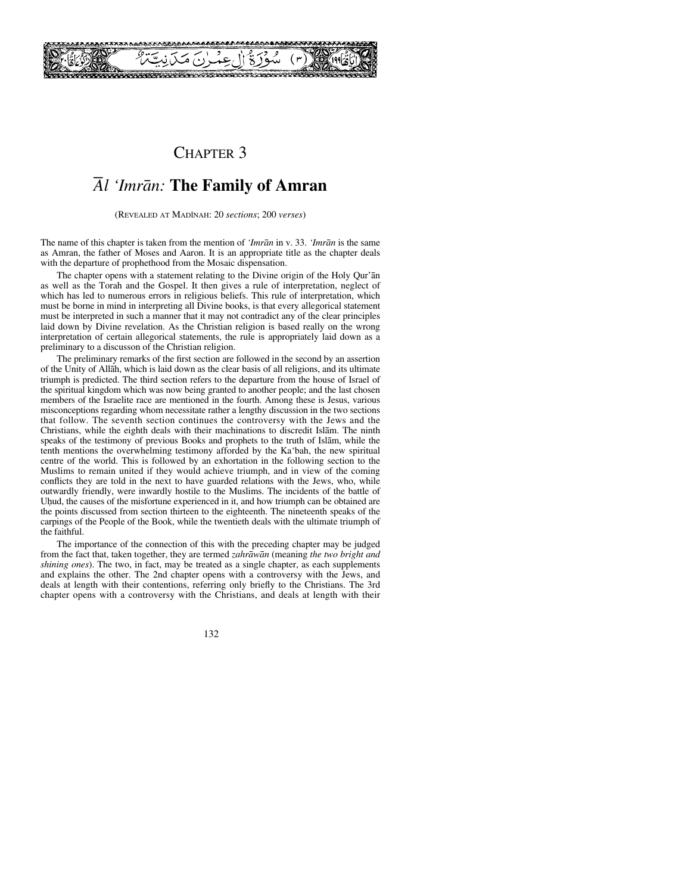

## CHAPTER 3

# *Ål 'Imrån:* **The Family of Amran**

(REVEALED AT MADÍNAH: 20 *sections*; 200 *verses*)

The name of this chapter is taken from the mention of *'Imrån* in v. 33. *'Imrån* is the same as Amran, the father of Moses and Aaron. It is an appropriate title as the chapter deals with the departure of prophethood from the Mosaic dispensation.

The chapter opens with a statement relating to the Divine origin of the Holy Qur'ån as well as the Torah and the Gospel. It then gives a rule of interpretation, neglect of which has led to numerous errors in religious beliefs. This rule of interpretation, which must be borne in mind in interpreting all Divine books, is that every allegorical statement must be interpreted in such a manner that it may not contradict any of the clear principles laid down by Divine revelation. As the Christian religion is based really on the wrong interpretation of certain allegorical statements, the rule is appropriately laid down as a preliminary to a discusson of the Christian religion.

The preliminary remarks of the first section are followed in the second by an assertion of the Unity of Allåh, which is laid down as the clear basis of all religions, and its ultimate triumph is predicted. The third section refers to the departure from the house of Israel of the spiritual kingdom which was now being granted to another people; and the last chosen members of the Israelite race are mentioned in the fourth. Among these is Jesus, various misconceptions regarding whom necessitate rather a lengthy discussion in the two sections that follow. The seventh section continues the controversy with the Jews and the Christians, while the eighth deals with their machinations to discredit Islåm. The ninth speaks of the testimony of previous Books and prophets to the truth of Islåm, while the tenth mentions the overwhelming testimony afforded by the Ka'bah, the new spiritual centre of the world. This is followed by an exhortation in the following section to the Muslims to remain united if they would achieve triumph, and in view of the coming conflicts they are told in the next to have guarded relations with the Jews, who, while outwardly friendly, were inwardly hostile to the Muslims. The incidents of the battle of Uhud, the causes of the misfortune experienced in it, and how triumph can be obtained are the points discussed from section thirteen to the eighteenth. The nineteenth speaks of the carpings of the People of the Book, while the twentieth deals with the ultimate triumph of the faithful.

The importance of the connection of this with the preceding chapter may be judged from the fact that, taken together, they are termed *zahråwån* (meaning *the two bright and shining ones*). The two, in fact, may be treated as a single chapter, as each supplements and explains the other. The 2nd chapter opens with a controversy with the Jews, and deals at length with their contentions, referring only briefly to the Christians. The 3rd chapter opens with a controversy with the Christians, and deals at length with their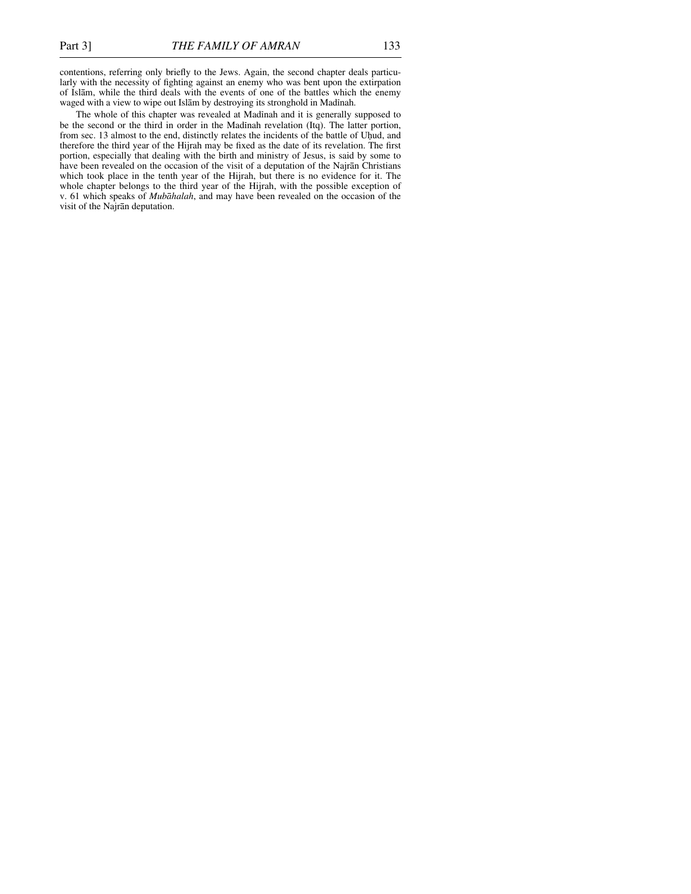contentions, referring only briefly to the Jews. Again, the second chapter deals particularly with the necessity of fighting against an enemy who was bent upon the extirpation of Islåm, while the third deals with the events of one of the battles which the enemy waged with a view to wipe out Islām by destroying its stronghold in Madinah.

The whole of this chapter was revealed at Madinah and it is generally supposed to be the second or the third in order in the Madinah revelation (Itq). The latter portion, from sec. 13 almost to the end, distinctly relates the incidents of the battle of Uhud, and therefore the third year of the Hijrah may be fixed as the date of its revelation. The first portion, especially that dealing with the birth and ministry of Jesus, is said by some to have been revealed on the occasion of the visit of a deputation of the Najrån Christians which took place in the tenth year of the Hijrah, but there is no evidence for it. The whole chapter belongs to the third year of the Hijrah, with the possible exception of v. 61 which speaks of *Mubåhalah*, and may have been revealed on the occasion of the visit of the Najrån deputation.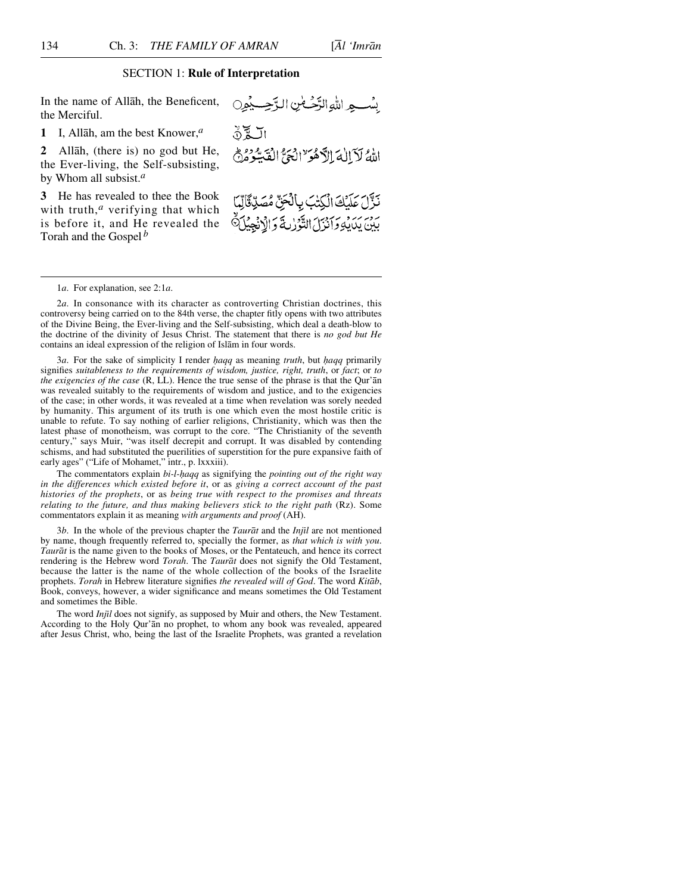## SECTION 1: **Rule of Interpretation**

In the name of Allåh, the Beneficent, the Merciful.

**1** I, Allåh, am the best Knower,*<sup>a</sup>*

**2** Allåh, (there is) no god but He, the Ever-living, the Self-subsisting, by Whom all subsist.*<sup>a</sup>*

**3** He has revealed to thee the Book with truth,<sup>*a*</sup> verifying that which is before it, and He revealed the Torah and the Gospel *<sup>b</sup>*

1*a*. For explanation, see 2:1*a*.

2*a*. In consonance with its character as controverting Christian doctrines, this controversy being carried on to the 84th verse, the chapter fitly opens with two attributes of the Divine Being, the Ever-living and the Self-subsisting, which deal a death-blow to the doctrine of the divinity of Jesus Christ. The statement that there is *no god but He* contains an ideal expression of the religion of Islåm in four words.

3*a*. For the sake of simplicity I render *haqq* as meaning *truth*, but *haqq* primarily signifies *suitableness to the requirements of wisdom, justice, right, truth*, or *fact*; or *to the exigencies of the case* (R, LL). Hence the true sense of the phrase is that the Qur'ån was revealed suitably to the requirements of wisdom and justice, and to the exigencies of the case; in other words, it was revealed at a time when revelation was sorely needed by humanity. This argument of its truth is one which even the most hostile critic is unable to refute. To say nothing of earlier religions, Christianity, which was then the latest phase of monotheism, was corrupt to the core. "The Christianity of the seventh century," says Muir, "was itself decrepit and corrupt. It was disabled by contending schisms, and had substituted the puerilities of superstition for the pure expansive faith of early ages" ("Life of Mohamet," intr., p. lxxxiii).

The commentators explain *bi-l-haqq* as signifying the *pointing out of the right way in the differences which existed before it*, or as *giving a correct account of the past histories of the prophets*, or as *being true with respect to the promises and threats relating to the future, and thus making believers stick to the right path* (Rz). Some commentators explain it as meaning *with arguments and proof* (AH).

3*b*. In the whole of the previous chapter the *Tauråt* and the *Injßl* are not mentioned by name, though frequently referred to, specially the former, as *that which is with you*. *Tauråt* is the name given to the books of Moses, or the Pentateuch, and hence its correct rendering is the Hebrew word *Torah*. The *Tauråt* does not signify the Old Testament, because the latter is the name of the whole collection of the books of the Israelite prophets. *Torah* in Hebrew literature signifies *the revealed will of God*. The word *Kitåb*, Book, conveys, however, a wider significance and means sometimes the Old Testament and sometimes the Bible.

The word *Injil* does not signify, as supposed by Muir and others, the New Testament. According to the Holy Qur'ån no prophet, to whom any book was revealed, appeared after Jesus Christ, who, being the last of the Israelite Prophets, was granted a revelation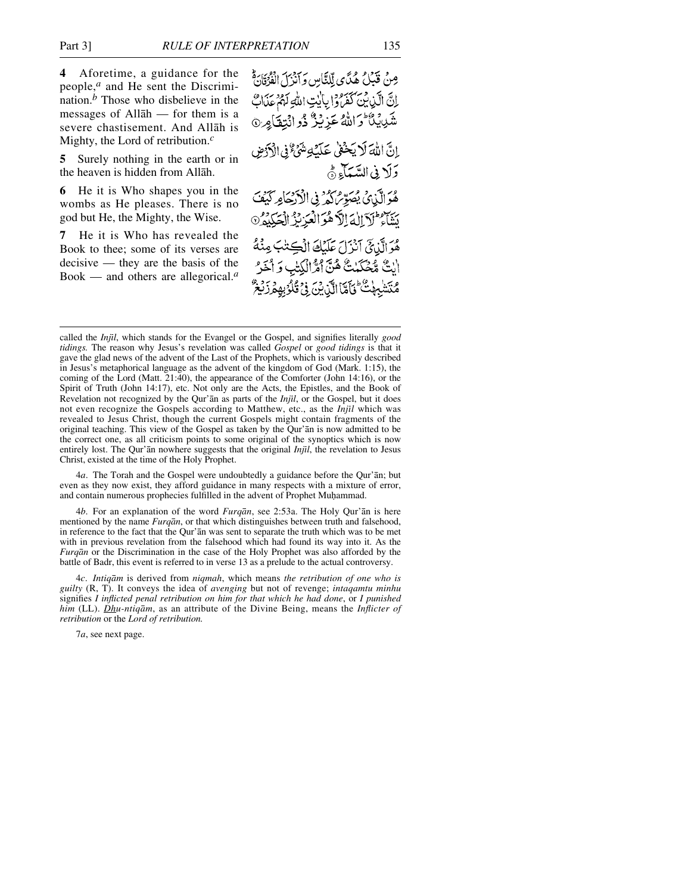**4** Aforetime, a guidance for the people,*<sup>a</sup>* and He sent the Discrimination.*<sup>b</sup>* Those who disbelieve in the messages of Allåh — for them is a severe chastisement. And Allåh is Mighty, the Lord of retribution.*<sup>c</sup>*

**5** Surely nothing in the earth or in the heaven is hidden from Allåh.

**6** He it is Who shapes you in the wombs as He pleases. There is no god but He, the Mighty, the Wise.

**7** He it is Who has revealed the Book to thee; some of its verses are decisive — they are the basis of the Book — and others are allegorical.*<sup>a</sup>*

مِنْ قَبَيْلُ هُدًّاي لِّلنَّاسِ وَآنَزَلَ الْفَرْقَارَةُ إِنَّ الَّذِينَ كَفَرُوا بِالَّذِي اللَّهِ لَهُمْ عَذَابٌ شَدِينَ الْأَوَالَلَّهُ عَزِيْزٌ ذُو انْتِقَامِرِ إنَّ اللَّهَ لَا يَحْفَىٰ عَلَيْكِةِ شَيْءٌ فِي الْأَدْمِنِ دَلَا فِي السَّيَآءِ ۞ هُوَ الَّذِي يُصَوِّرُ كَدُّ فِي الْأَدْخِيَامِرِ كَيْفَ يَنَبَهُ لَأَزَالَهُ الْأَهْوَالْعَزِيْزُ الْحَكِيمُ 9 هُوَ الَّذِيَّ آنَزَلَ عَلَيْكَ الْكِتْبَ مِنْهُ الِتٌ مُّحَكَّمْتٌ هُنَّ أَمَّرْ الْكِتْبِ وَ أَخَرْ مُتَشْبِهِكْ تَأَمَّا الَّذِينَ فِي قُلُوْبِهِ هُ زَيْعٌ

4*a*. The Torah and the Gospel were undoubtedly a guidance before the Qur'ån; but even as they now exist, they afford guidance in many respects with a mixture of error, and contain numerous prophecies fulfilled in the advent of Prophet Muhammad.

4*b*. For an explanation of the word *Furqån*, see 2:53a. The Holy Qur'ån is here mentioned by the name *Furqån*, or that which distinguishes between truth and falsehood, in reference to the fact that the Qur'ån was sent to separate the truth which was to be met with in previous revelation from the falsehood which had found its way into it. As the *Furqån* or the Discrimination in the case of the Holy Prophet was also afforded by the battle of Badr, this event is referred to in verse 13 as a prelude to the actual controversy.

4*c*. *Intiqåm* is derived from *niqmah*, which means *the retribution of one who is guilty* (R, T). It conveys the idea of *avenging* but not of revenge; *intaqamtu minhu* signifies *I inflicted penal retribution on him for that which he had done*, or *I punished him* (LL). *Dhu-ntiqåm*, as an attribute of the Divine Being, means the *Inflicter of retribution* or the *Lord of retribution.*

7*a*, see next page.

called the *Injßl*, which stands for the Evangel or the Gospel, and signifies literally *good tidings.* The reason why Jesus's revelation was called *Gospel* or *good tidings* is that it gave the glad news of the advent of the Last of the Prophets, which is variously described in Jesus's metaphorical language as the advent of the kingdom of God (Mark. 1:15), the coming of the Lord (Matt. 21:40), the appearance of the Comforter (John 14:16), or the Spirit of Truth (John 14:17), etc. Not only are the Acts, the Epistles, and the Book of Revelation not recognized by the Qur'ån as parts of the *Injßl*, or the Gospel, but it does not even recognize the Gospels according to Matthew, etc., as the *Injil* which was revealed to Jesus Christ, though the current Gospels might contain fragments of the original teaching. This view of the Gospel as taken by the Qur'ån is now admitted to be the correct one, as all criticism points to some original of the synoptics which is now entirely lost. The Qur'ån nowhere suggests that the original *Injßl*, the revelation to Jesus Christ, existed at the time of the Holy Prophet.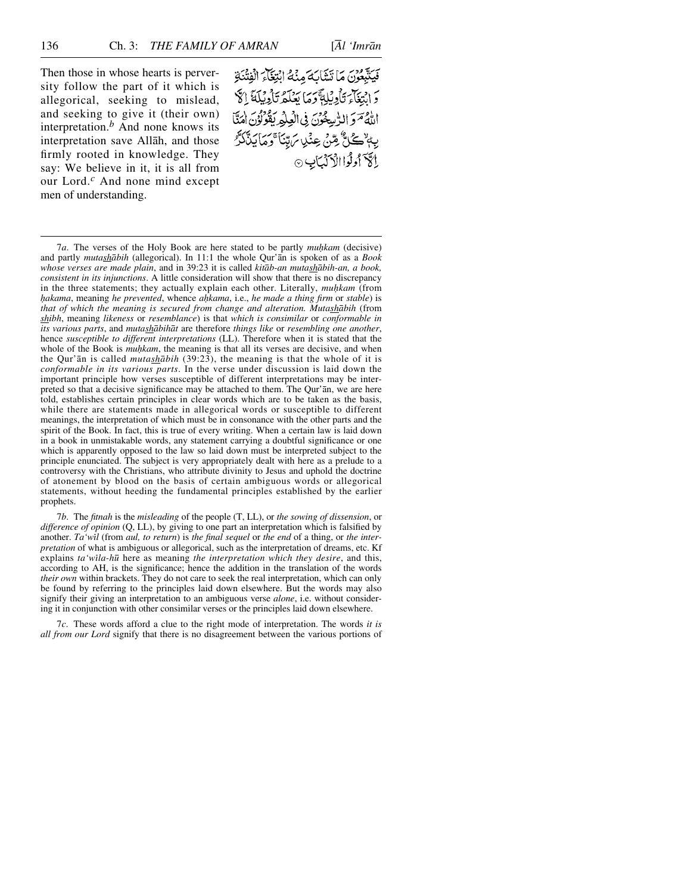Then those in whose hearts is perversity follow the part of it which is allegorical, seeking to mislead, and seeking to give it (their own) interpretation.*<sup>b</sup>* And none knows its interpretation save Allåh, and those firmly rooted in knowledge. They say: We believe in it, it is all from our Lord.*<sup>c</sup>* And none mind except men of understanding.

فَيَتَّبِعُونَ مَا تَشَابَهَ مِنْهُ ابْتِغَاءَ الْفِتْنَةِ وَابِتِغَاءَ تَأْوِيُلِةً وَمَا يَعْلَمُ تَأْوِيلَةَ إِلَّا اللَّهُ مَوَ الرُّسِعُونَ فِى الْعِلْمِرِ يَقُولُوْنَ امَنَّا بِهِ ٚڪُلُّ مِّنْ عِنْدِ بَرِّيْنَا ۚ وَمَايَذَّكَّرُ إِلَى أَوِلُوا الْأَذَلِبَانِ ۞

7*a*. The verses of the Holy Book are here stated to be partly *muhkam* (decisive) and partly *mutashåbih* (allegorical). In 11:1 the whole Qur'ån is spoken of as a *Book whose verses are made plain*, and in 39:23 it is called *kitåb-an mutashåbih-an, a book, consistent in its injunctions*. A little consideration will show that there is no discrepancy in the three statements; they actually explain each other. Literally, muhkam (from *√akama*, meaning *he prevented*, whence *a√kama*, i.e., *he made a thing firm* or *stable*) is *that of which the meaning is secured from change and alteration. Mutashåbih* (from *shibh*, meaning *likeness* or *resemblance*) is that *which is consimilar* or *conformable in its various parts*, and *mutashåbihåt* are therefore *things like* or *resembling one another*, hence *susceptible to different interpretations* (LL). Therefore when it is stated that the whole of the Book is *muhkam*, the meaning is that all its verses are decisive, and when the Qur'ån is called *mutashåbih* (39:23), the meaning is that the whole of it is *conformable in its various parts*. In the verse under discussion is laid down the important principle how verses susceptible of different interpretations may be interpreted so that a decisive significance may be attached to them. The Qur'ån, we are here told, establishes certain principles in clear words which are to be taken as the basis, while there are statements made in allegorical words or susceptible to different meanings, the interpretation of which must be in consonance with the other parts and the spirit of the Book. In fact, this is true of every writing. When a certain law is laid down in a book in unmistakable words, any statement carrying a doubtful significance or one which is apparently opposed to the law so laid down must be interpreted subject to the principle enunciated. The subject is very appropriately dealt with here as a prelude to a controversy with the Christians, who attribute divinity to Jesus and uphold the doctrine of atonement by blood on the basis of certain ambiguous words or allegorical statements, without heeding the fundamental principles established by the earlier prophets.

7*b*. The *fitnah* is the *misleading* of the people (T, LL), or *the sowing of dissension*, or *difference of opinion* (Q, LL), by giving to one part an interpretation which is falsified by another. *Ta'wßl* (from *aul, to return*) is *the final sequel* or *the end* of a thing, or *the interpretation* of what is ambiguous or allegorical, such as the interpretation of dreams, etc. Kf explains *ta'wßla-h∂* here as meaning *the interpretation which they desire*, and this, according to AH, is the significance; hence the addition in the translation of the words *their own* within brackets. They do not care to seek the real interpretation, which can only be found by referring to the principles laid down elsewhere. But the words may also signify their giving an interpretation to an ambiguous verse *alone*, i.e. without considering it in conjunction with other consimilar verses or the principles laid down elsewhere.

7*c*. These words afford a clue to the right mode of interpretation. The words *it is all from our Lord* signify that there is no disagreement between the various portions of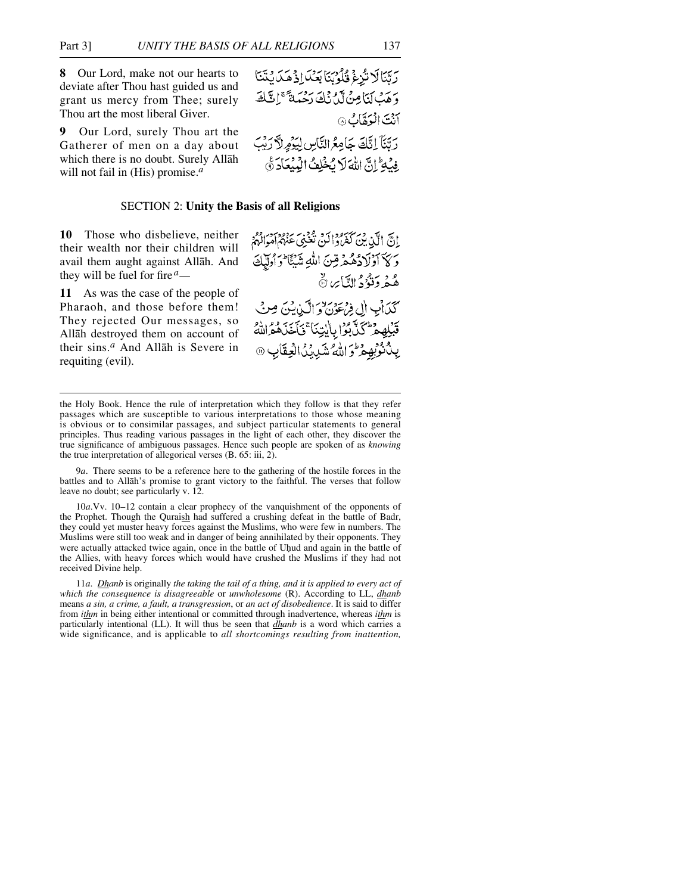**8** Our Lord, make not our hearts to deviate after Thou hast guided us and grant us mercy from Thee; surely Thou art the most liberal Giver.

**9** Our Lord, surely Thou art the Gatherer of men on a day about which there is no doubt. Surely Allåh will not fail in (His) promise.*<sup>a</sup>*



## SECTION 2: **Unity the Basis of all Religions**

**10** Those who disbelieve, neither their wealth nor their children will avail them aught against Allåh. And they will be fuel for fire*a—*

**11** As was the case of the people of Pharaoh, and those before them! They rejected Our messages, so Allåh destroyed them on account of their sins.*<sup>a</sup>* And Allåh is Severe in requiting (evil).

ادسي الله، من كم واكبره عمع، سردو وسور وه.<br>إدسي الله، بين كفروا كبر، نغبي عنهم أمراكهم وَكَا آؤلَادُهُمْ قِنَ اللَّهِ شَيْئًا وَأُولَٰإِكَ هُمْ دَنْوُدُ النَّايِرِ ۞ كَذَابِ إِلِي فِرْعَوْنَ وَالَّذِينَ مِنْ قَبْلِهِمْ كَنَّ بِوَا بِالْبِيْنَا ۚ فَأَخَذَهُمْ اللَّهُ يِّدُ نُوْبِهِ مِرَّ وَ اللَّهُ شَدِّدَ الْعِقَابِ @

9*a*. There seems to be a reference here to the gathering of the hostile forces in the battles and to Allåh's promise to grant victory to the faithful. The verses that follow leave no doubt; see particularly v. 12.

10*a*.Vv. 10–12 contain a clear prophecy of the vanquishment of the opponents of the Prophet. Though the Quraish had suffered a crushing defeat in the battle of Badr, they could yet muster heavy forces against the Muslims, who were few in numbers. The Muslims were still too weak and in danger of being annihilated by their opponents. They were actually attacked twice again, once in the battle of Uhud and again in the battle of the Allies, with heavy forces which would have crushed the Muslims if they had not received Divine help.

11*a*. *Dhanb* is originally *the taking the tail of a thing, and it is applied to every act of which the consequence is disagreeable* or *unwholesome* (R). According to LL, *dhanb* means *a sin, a crime, a fault, a transgression*, or *an act of disobedience*. It is said to differ from *ithm* in being either intentional or committed through inadvertence, whereas *ithm* is particularly intentional (LL). It will thus be seen that *dhanb* is a word which carries a wide significance, and is applicable to *all shortcomings resulting from inattention,* 

the Holy Book. Hence the rule of interpretation which they follow is that they refer passages which are susceptible to various interpretations to those whose meaning is obvious or to consimilar passages, and subject particular statements to general principles. Thus reading various passages in the light of each other, they discover the true significance of ambiguous passages. Hence such people are spoken of as *knowing* the true interpretation of allegorical verses (B. 65: iii, 2).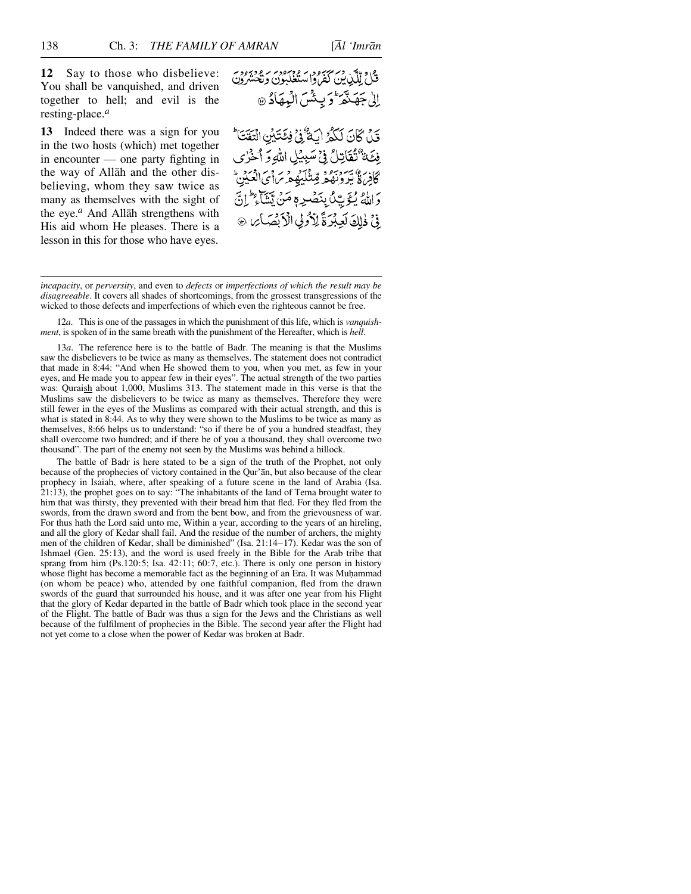**12** Say to those who disbelieve: You shall be vanquished, and driven together to hell; and evil is the resting-place.*<sup>a</sup>*

**13** Indeed there was a sign for you in the two hosts (which) met together in encounter — one party fighting in the way of Allåh and the other disbelieving, whom they saw twice as many as themselves with the sight of the eye.*<sup>a</sup>* And Allåh strengthens with His aid whom He pleases. There is a lesson in this for those who have eyes.

قَيْنَ كَانَ لَكُوْ الْكَثْرُوْ فِكَتَبَيْنِ انْتَقَتَا فِئَة تُقَاتِلُ فِي سَبِيْلِ اللَّهِ وَ أَخْرُى كافِر، وَيَسْرَبُوْنَهُمْ مِّتَنْكَيْهِمْ بِرَاحِي الْعَكِينِ ۖ دَاللَّهُ يُتَوَيُّكُ بِنَصْبِهِ مَنْ يَّشَاءِ كُلِّ إِنَّ فِي ذٰلِكَ لَعِبْرَةً لِأَدُولِي الْأَبْصَائِرِ ۞

*incapacity*, or *perversity*, and even to *defects* or *imperfections of which the result may be disagreeable*. It covers all shades of shortcomings, from the grossest transgressions of the wicked to those defects and imperfections of which even the righteous cannot be free.

12*a*. This is one of the passages in which the punishment of this life, which is *vanquishment*, is spoken of in the same breath with the punishment of the Hereafter, which is *hell*.

13*a*. The reference here is to the battle of Badr. The meaning is that the Muslims saw the disbelievers to be twice as many as themselves. The statement does not contradict that made in 8:44: "And when He showed them to you, when you met, as few in your eyes, and He made you to appear few in their eyes". The actual strength of the two parties was: Quraish about 1,000, Muslims 313. The statement made in this verse is that the Muslims saw the disbelievers to be twice as many as themselves. Therefore they were still fewer in the eyes of the Muslims as compared with their actual strength, and this is what is stated in 8:44. As to why they were shown to the Muslims to be twice as many as themselves, 8:66 helps us to understand: "so if there be of you a hundred steadfast, they shall overcome two hundred; and if there be of you a thousand, they shall overcome two thousand". The part of the enemy not seen by the Muslims was behind a hillock.

The battle of Badr is here stated to be a sign of the truth of the Prophet, not only because of the prophecies of victory contained in the Qur'ån, but also because of the clear prophecy in Isaiah, where, after speaking of a future scene in the land of Arabia (Isa. 21:13), the prophet goes on to say: "The inhabitants of the land of Tema brought water to him that was thirsty, they prevented with their bread him that fled. For they fled from the swords, from the drawn sword and from the bent bow, and from the grievousness of war. For thus hath the Lord said unto me, Within a year, according to the years of an hireling, and all the glory of Kedar shall fail. And the residue of the number of archers, the mighty men of the children of Kedar, shall be diminished" (Isa. 21:14–17). Kedar was the son of Ishmael (Gen. 25:13), and the word is used freely in the Bible for the Arab tribe that sprang from him  $(Ps.120:5; Isa. 42:11; 60:7, etc.).$  There is only one person in history whose flight has become a memorable fact as the beginning of an Era. It was Muhammad (on whom be peace) who, attended by one faithful companion, fled from the drawn swords of the guard that surrounded his house, and it was after one year from his Flight that the glory of Kedar departed in the battle of Badr which took place in the second year of the Flight. The battle of Badr was thus a sign for the Jews and the Christians as well because of the fulfilment of prophecies in the Bible. The second year after the Flight had not yet come to a close when the power of Kedar was broken at Badr.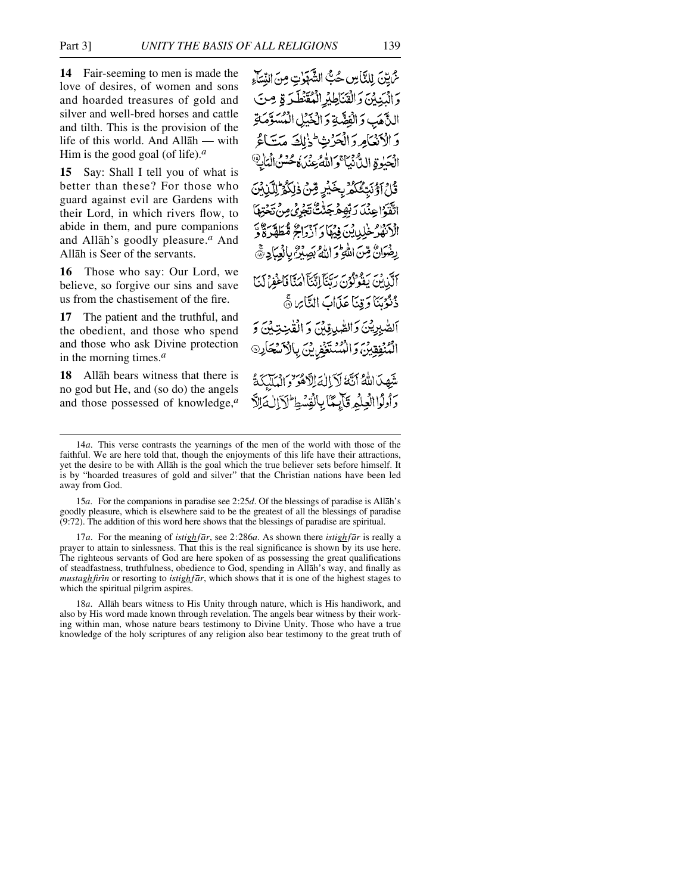**14** Fair-seeming to men is made the love of desires, of women and sons and hoarded treasures of gold and silver and well-bred horses and cattle and tilth. This is the provision of the life of this world. And Allåh — with Him is the good goal (of life).*<sup>a</sup>*

**15** Say: Shall I tell you of what is better than these? For those who guard against evil are Gardens with their Lord, in which rivers flow, to abide in them, and pure companions and Allåh's goodly pleasure.*<sup>a</sup>* And Allåh is Seer of the servants.

**16** Those who say: Our Lord, we believe, so forgive our sins and save us from the chastisement of the fire.

**17** The patient and the truthful, and the obedient, and those who spend and those who ask Divine protection in the morning times.*<sup>a</sup>*

**18** Allåh bears witness that there is no god but He, and (so do) the angels and those possessed of knowledge,*<sup>a</sup>* ثَّ إِلَيْنَ لِلنَّاسِ حُبُّ الشَّهَوْتِ مِنَ النِّسَاءِ وَالْدَيْيَنَ وَالْقَنَاطِيرِ الْمُقَنْطَرَةِ مِنَ النَّاهَبِ وَالْفِضَّةِ وَالْخَيْلِ الْمُسَوَّمَةِ وَالْأَنْعَامِ وَالْْحَرْثِ لِمَزْلِكَ مَتَاءً الْحَيْوةِ الدُّنْبَيَّا وَاللَّهُ عِنْدَهُ حُسْنُ الْمَانِ ﴾ قَاعَ آَوَّنَتِّعُكُمُّ بِخَيْرِ قِنْ ذٰلِكُمُّ لِلَّيْنِ بِّنَ اتَّقَوْاعِنْدَ رَبِّهِمْجَنَّتُ تَجْرِي مِنْ تَجْ الْأَنْهُلُّ خَلِيلِيْنَ فِيهَا وَآزَوَاجُ مُّطَهَّرَةٌ وَّ رِضُوَانٌ مِّنَ اللَّهِ وَ اللَّهُ بَصِبْنٌ بِالْعِبَادِ ﴾ أَكَّذَنِكَ يَقُونُونَ دِيَّنَآ إِنَّنَآ اٰمَيَّاۤ فَأَغْفِرْ لَهَاۤ ذُنُوْبَنَا وَقِنَا عَذَابَ التَّابِرِينَّ ٱلصَّٰبِرِيْنَ وَالصَّٰبِ قِبْنَ وَ الْقَٰنِيَةِينَ وَ المُنْفِقِينَ وَالْمُسْتَغْفِرِينَ بِالْكَسْحَارِ® شَهِدَاللَّهُ أَنَّهُ لَأَ الْمَالَّاهُوَ وَالْمَلَكَةُ وَأَوْلَوْا الْعِلْمُ قَيْاتِيَنَا بِالْفِسْطِ لَآَالِ وَالْأَ

17*a*. For the meaning of *istighfår*, see 2:286*a*. As shown there *istighfår* is really a prayer to attain to sinlessness. That this is the real significance is shown by its use here. The righteous servants of God are here spoken of as possessing the great qualifications of steadfastness, truthfulness, obedience to God, spending in Allåh's way, and finally as *mustaghfirßn* or resorting to *istighfår*, which shows that it is one of the highest stages to which the spiritual pilgrim aspires.

18*a*. Allåh bears witness to His Unity through nature, which is His handiwork, and also by His word made known through revelation. The angels bear witness by their working within man, whose nature bears testimony to Divine Unity. Those who have a true knowledge of the holy scriptures of any religion also bear testimony to the great truth of

<sup>14</sup>*a*. This verse contrasts the yearnings of the men of the world with those of the faithful. We are here told that, though the enjoyments of this life have their attractions, yet the desire to be with Allåh is the goal which the true believer sets before himself. It is by "hoarded treasures of gold and silver" that the Christian nations have been led away from God.

<sup>15</sup>*a*. For the companions in paradise see 2:25*d*. Of the blessings of paradise is Allåh's goodly pleasure, which is elsewhere said to be the greatest of all the blessings of paradise (9:72). The addition of this word here shows that the blessings of paradise are spiritual.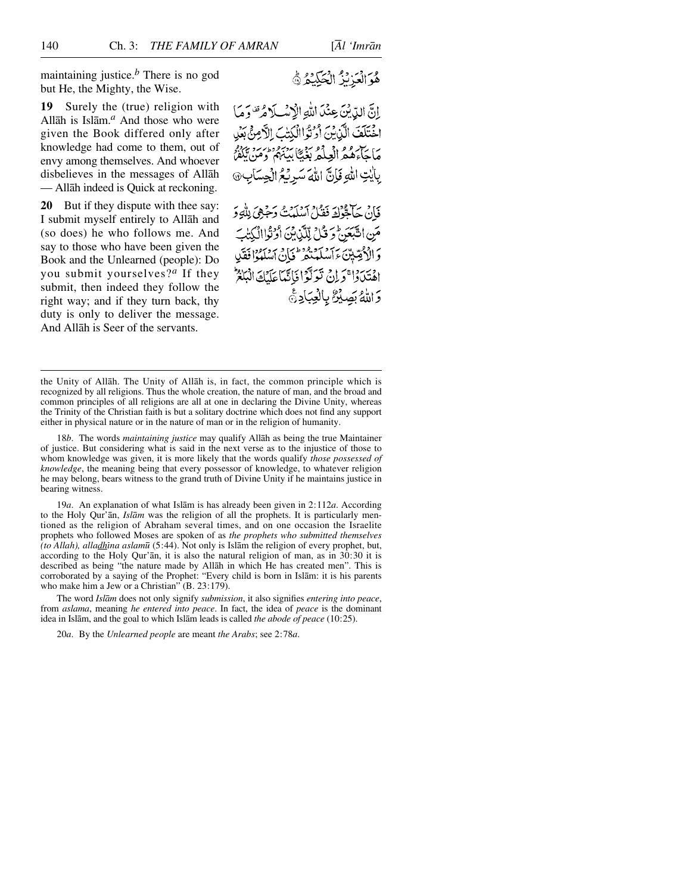maintaining justice.*<sup>b</sup>* There is no god but He, the Mighty, the Wise.

**19** Surely the (true) religion with Allåh is Islåm.*<sup>a</sup>* And those who were given the Book differed only after knowledge had come to them, out of envy among themselves. And whoever disbelieves in the messages of Allåh — Allåh indeed is Quick at reckoning.

**20** But if they dispute with thee say: I submit myself entirely to Allåh and (so does) he who follows me. And say to those who have been given the Book and the Unlearned (people): Do you submit yourselves?*<sup>a</sup>* If they submit, then indeed they follow the right way; and if they turn back, thy duty is only to deliver the message. And Allåh is Seer of the servants.

إِنَّ الدِّيْنَ عِنْدَ اللَّهِ الْإِسْلَامُ تَصْوَمَا اخْتَلَفَ الَّذِيْنَ أَوْتُوا الْكِتْبَ الْأَمِنَّ بَعْدِ مَاجَاءَهُمُ الْعِلْمُ بَغَيًّا بَيْنَهُمْ وَمَنْ يَكْفُرُ بِإِيْتِ اللَّهِ فَإِنَّ اللَّهَ سَرِيْحُ الْجِسَابِ۞

فَإِنْ حَالِثُوْلَةَ فَقَدْلَ أَسْلَمْتُ وَجَهِيَ بِلْهِ وَ مَنِ التَّبَعَنُّ وَ قُلْ لِلَّذِينَ أَوْلَوْاالْكِتَابَ وَالْأَصِّيّنَ ءَآمَدَ وَقَرْطَهَامِي ٱسْلَمَهُوۡا فَقَل اهْتَدَدَا ۚ وَ إِنْ تَوَلَّوْا فَاتَّبَاعَلَيْكَ الْبَالِمُ وَاللَّهُ بَصِيْنٌ بِالْعِبَادِيُّ

18*b*. The words *maintaining justice* may qualify Allåh as being the true Maintainer of justice. But considering what is said in the next verse as to the injustice of those to whom knowledge was given, it is more likely that the words qualify *those possessed of knowledge*, the meaning being that every possessor of knowledge, to whatever religion he may belong, bears witness to the grand truth of Divine Unity if he maintains justice in bearing witness.

19*a*. An explanation of what Islåm is has already been given in 2:112*a*. According to the Holy Qur'ån, *Islåm* was the religion of all the prophets. It is particularly mentioned as the religion of Abraham several times, and on one occasion the Israelite prophets who followed Moses are spoken of as *the prophets who submitted themselves* (to Allah), alladhina aslamū (5:44). Not only is Islām the religion of every prophet, but, according to the Holy Qur'ån, it is also the natural religion of man, as in 30:30 it is described as being "the nature made by Allåh in which He has created men". This is corroborated by a saying of the Prophet: "Every child is born in Islåm: it is his parents who make him a Jew or a Christian" (B. 23:179).

The word *Islåm* does not only signify *submission*, it also signifies *entering into peace*, from *aslama*, meaning *he entered into peace*. In fact, the idea of *peace* is the dominant idea in Islåm, and the goal to which Islåm leads is called *the abode of peace* (10:25).

20*a*. By the *Unlearned people* are meant *the Arabs*; see 2:78*a*.

هُوَالْعَزِيْزُ الْحَكِيْعُ ﴾

the Unity of Allåh. The Unity of Allåh is, in fact, the common principle which is recognized by all religions. Thus the whole creation, the nature of man, and the broad and common principles of all religions are all at one in declaring the Divine Unity, whereas the Trinity of the Christian faith is but a solitary doctrine which does not find any support either in physical nature or in the nature of man or in the religion of humanity.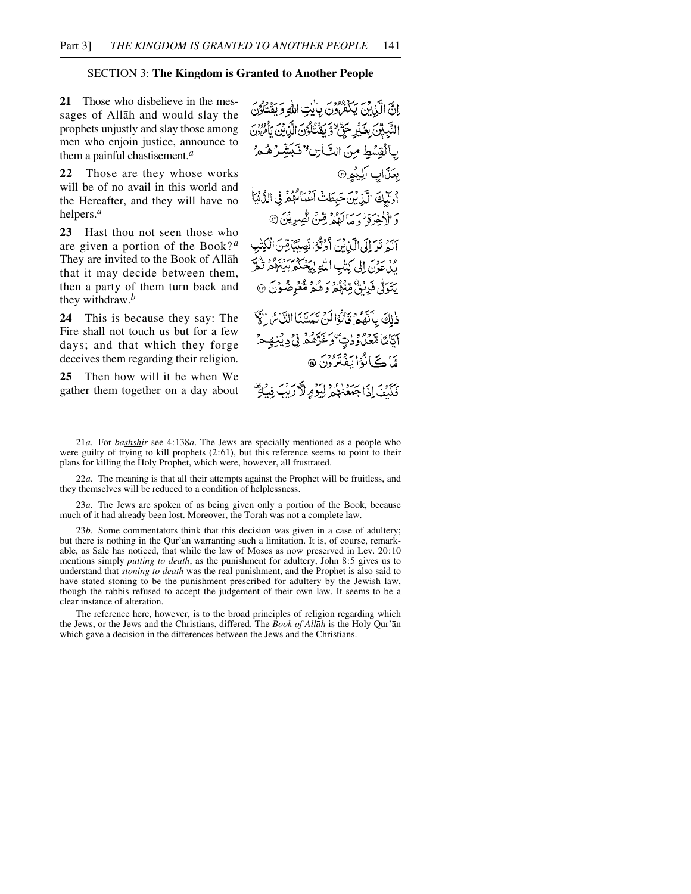## SECTION 3: **The Kingdom is Granted to Another People**

**21** Those who disbelieve in the messages of Allåh and would slay the prophets unjustly and slay those among men who enjoin justice, announce to them a painful chastisement.*<sup>a</sup>*

**22** Those are they whose works will be of no avail in this world and the Hereafter, and they will have no helpers.*<sup>a</sup>*

**23** Hast thou not seen those who are given a portion of the Book? *<sup>a</sup>* They are invited to the Book of Allåh that it may decide between them, then a party of them turn back and they withdraw.*<sup>b</sup>*

**24** This is because they say: The Fire shall not touch us but for a few days; and that which they forge deceives them regarding their religion.

**25** Then how will it be when We gather them together on a day about

إِنَّ الَّذِينَ يَكْفَرُونَ بِالَّذِي اللَّهِ وَيَقْتَلُوْنَ النَّبِيِّينَ بِغَيْرِ حَقِّ ﴿ يَؤْمِنُكُونَ الَّذِينَ يَأْمُرُونَ بالقِسْطِ مِنَ التَّاسِ لافَبَشِّرْهُ هُرُ بِعَنَابِ الِيَمِمِ أُولَيْكَ الَّذِينَ حَبِطَتْ آَعْمَالُهُمْ فِي الدُّنْيَا دَ الْأَخِرَةِ زِيرِ مِنْ دَوْمِ قِنْ نُصِرِينَ @ آلَهُ تَدَ إِلَى الَّيْانُنَ أَوْتُوْا نَصِيْبًا قِينَ الْكِتْبِ ود سوس إلى كِتْبِ اللَّهِ لِيَجْبُكُمْ بِيَبْهُمْ نَكْبَرُ يَتَوَلَّىٰ فَرِنْقٌ مِّنْهُمْ رَهُمْ مُّعْرِضُوْنَ ۞ دٰلِكَ بِأَنَّهُمْ وَأَلْوَالَهُ؟ تَمَسَّنَا النَّاسُ الْمَيّ ٱيَّامَّا\$قَعْدُوْدِيَّ رَغَرَّهُمْ فِيْ دِيْنِهِ هُ مَّاڪَانُوْا بَفْتَرُوْنَ ۞ كَلَّيْفَ إِذَا جَعَّذْهُمْ لِيَوْمِرِلاَّ رَيْبَ فِيْ تَوْ

23*a*. The Jews are spoken of as being given only a portion of the Book, because much of it had already been lost. Moreover, the Torah was not a complete law.

23*b*. Some commentators think that this decision was given in a case of adultery; but there is nothing in the Qur'ån warranting such a limitation. It is, of course, remarkable, as Sale has noticed, that while the law of Moses as now preserved in Lev. 20:10 mentions simply *putting to death*, as the punishment for adultery, John 8:5 gives us to understand that *stoning to death* was the real punishment, and the Prophet is also said to have stated stoning to be the punishment prescribed for adultery by the Jewish law, though the rabbis refused to accept the judgement of their own law. It seems to be a clear instance of alteration.

The reference here, however, is to the broad principles of religion regarding which the Jews, or the Jews and the Christians, differed. The *Book of Allåh* is the Holy Qur'ån which gave a decision in the differences between the Jews and the Christians.

<sup>21</sup>*a*. For *bashshir* see 4:138*a*. The Jews are specially mentioned as a people who were guilty of trying to kill prophets (2:61), but this reference seems to point to their plans for killing the Holy Prophet, which were, however, all frustrated.

<sup>22</sup>*a*. The meaning is that all their attempts against the Prophet will be fruitless, and they themselves will be reduced to a condition of helplessness.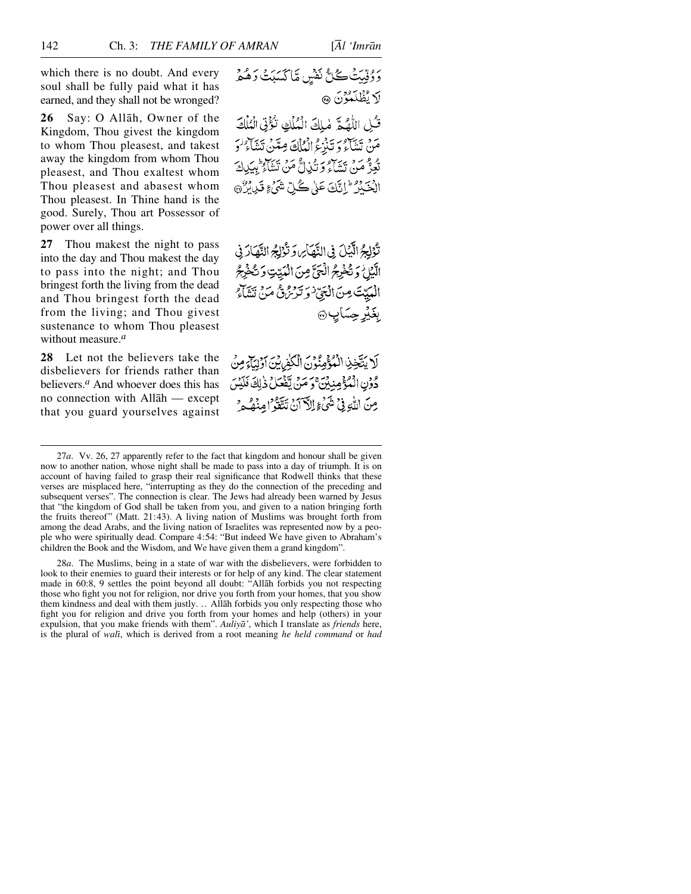which there is no doubt. And every soul shall be fully paid what it has earned, and they shall not be wronged?

**26** Say: O Allåh, Owner of the Kingdom, Thou givest the kingdom to whom Thou pleasest, and takest away the kingdom from whom Thou pleasest, and Thou exaltest whom Thou pleasest and abasest whom Thou pleasest. In Thine hand is the good. Surely, Thou art Possessor of power over all things.

**27** Thou makest the night to pass into the day and Thou makest the day to pass into the night; and Thou bringest forth the living from the dead and Thou bringest forth the dead from the living; and Thou givest sustenance to whom Thou pleasest without measure.*<sup>a</sup>*

**28** Let not the believers take the disbelievers for friends rather than believers.*<sup>a</sup>* And whoever does this has no connection with Allåh — except that you guard yourselves against وَوُقِيتُ كُلُّ نَفْسٍ مَّاكَسَبَتَ وَهُمْ لَا يُظْلَمُوْنَ ۞

قُلْ اللَّهُمَّ مٰلِكَ الْمُلْكِ تُؤْتِي الْمُلْكَ مَنْ تَشَاءُ وَ تَنْزَعُ الْمُلْكَ مِعَنَّنُ تَشَاءُ وَ تُعِزُّ مَنْ تَشَاءُ وَ تُذِلُّ مَنْ تَشَاءُ بِبِيَدِكَ الْعَبْدُ ۚ إِنَّكَ عَلَى كُلِّ شَيْءٍ قَيْدِيْرٌ ۞

تْؤَلِّجُ الَّيْلَ فِي النَّهَاسِ وَتَّوْلِجُ النَّهَارَ فِي الَّيْلُ وَتُخْرِجُ الْحَيَّ مِنَ الْمَيِّتِ وَتُخْرِجُ الْمَيِّتَ مِنَ الْجَيّْ وَتَرْتَزْهِ مَنْ تَشَاءَ بغَيْرِحِسَابِ۞

لَا يَتَّخِذِ الْمُؤْمِنُوْنَ الْكَلّْمَانِيَّ أَوْلِيَآءٍ مِنْ دُوْنِ الْمُؤْمِنِيْنَ ۚ وَ مَنْ يَقْعَلُ ذٰلِكَ فَلَيْسَ مِنَ اللَّهِ فِي شَيْءٍ إِلَّا آنَ تَتَّقَوْا مِنْهُ ءِ

28*a*. The Muslims, being in a state of war with the disbelievers, were forbidden to look to their enemies to guard their interests or for help of any kind. The clear statement made in 60:8, 9 settles the point beyond all doubt: "Allåh forbids you not respecting those who fight you not for religion, nor drive you forth from your homes, that you show them kindness and deal with them justly. …Allåh forbids you only respecting those who fight you for religion and drive you forth from your homes and help (others) in your expulsion, that you make friends with them". *Auliyå'*, which I translate as *friends* here, is the plural of *walß*, which is derived from a root meaning *he held command* or *had*

<sup>27</sup>*a*. Vv. 26, 27 apparently refer to the fact that kingdom and honour shall be given now to another nation, whose night shall be made to pass into a day of triumph. It is on account of having failed to grasp their real significance that Rodwell thinks that these verses are misplaced here, "interrupting as they do the connection of the preceding and subsequent verses". The connection is clear. The Jews had already been warned by Jesus that "the kingdom of God shall be taken from you, and given to a nation bringing forth the fruits thereof" (Matt. 21:43). A living nation of Muslims was brought forth from among the dead Arabs, and the living nation of Israelites was represented now by a people who were spiritually dead. Compare 4:54: "But indeed We have given to Abraham's children the Book and the Wisdom, and We have given them a grand kingdom".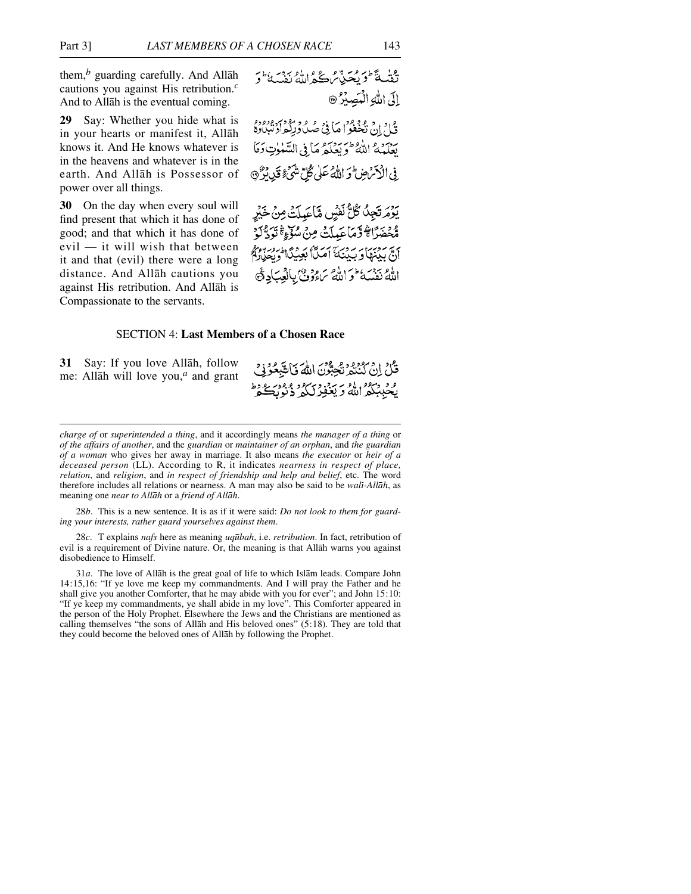them,*<sup>b</sup>* guarding carefully. And Allåh cautions you against His retribution.*<sup>c</sup>* And to Allåh is the eventual coming.

**29** Say: Whether you hide what is in your hearts or manifest it, Allåh knows it. And He knows whatever is in the heavens and whatever is in the earth. And Allåh is Possessor of power over all things.

**30** On the day when every soul will find present that which it has done of good; and that which it has done of evil — it will wish that between it and that (evil) there were a long distance. And Allåh cautions you against His retribution. And Allåh is Compassionate to the servants.

دي.<br>نقلةً طويعيةً من حجم الله نفسةً و الى الله الْمَصِيْرُ @ قُبْلُ إِنْ تَخْفُوْا مَأْ فِيْ صُدْرُورُ وَالْمَعْ أَوْسَدُوهُ مِنْ يعكمه الله طائر وسلم ما في السّلوتِ وَمَا فِي الْأَمْرَضِ فِي اللَّهُ عَلَى كُلِّ شَيْءٍ فَيْدِرْبُوْنَ

يومرتجِدُ كُلُّ نَفْسٍ مَّاعَيِلَتْ مِنْ خَيْرٍ مُّحْضَرًا ﴾ وَمَاعَيلَتْ مِنْ سُوِّءٍ ۚ تَوَدُّلَوْ أَنَّ بِدِينِهَا وَ بِدِينَهَ أَصَلَّا بَعِيدِگَا وَرِجِيدٌ مِنْ الْمَجَمَّدِينَ اللَّهُ نَفْسَهُ ثُوَّ اللَّهُ سَاءُوُوْنَ بِالْعِبَادِ ثَمَّ

## SECTION 4: **Last Members of a Chosen Race**

**31** Say: If you love Allåh, follow me: Allåh will love you,*<sup>a</sup>* and grant قُلْ إِنْ كَنْتُمْ تَجِبُّونَ اللَّهَ فَاتَّبِعُوْنِي وفر منگرانه و سود وسر د ورود و دا<br>ريځېنگفرانله و پغورليکي د نورېخچو

28*b*. This is a new sentence. It is as if it were said: *Do not look to them for guarding your interests, rather guard yourselves against them*.

28*c*. T explains *nafs* here as meaning *uq∂bah*, i.e. *retribution*. In fact, retribution of evil is a requirement of Divine nature. Or, the meaning is that Allåh warns you against disobedience to Himself.

*charge of* or *superintended a thing*, and it accordingly means *the manager of a thing* or *of the affairs of another*, and the *guardian* or *maintainer of an orphan*, and *the guardian of a woman* who gives her away in marriage. It also means *the executor* or *heir of a deceased person* (LL). According to R, it indicates *nearness in respect of place, relation*, and *religion*, and *in respect of friendship and help and belief*, etc. The word therefore includes all relations or nearness. A man may also be said to be *wali-Allāh*, as meaning one *near to Allåh* or a *friend of Allåh*.

<sup>31</sup>*a*. The love of Allåh is the great goal of life to which Islåm leads. Compare John 14:15,16: "If ye love me keep my commandments. And I will pray the Father and he shall give you another Comforter, that he may abide with you for ever"; and John 15:10: "If ye keep my commandments, ye shall abide in my love". This Comforter appeared in the person of the Holy Prophet. Elsewhere the Jews and the Christians are mentioned as calling themselves "the sons of Allåh and His beloved ones" (5:18). They are told that they could become the beloved ones of Allåh by following the Prophet.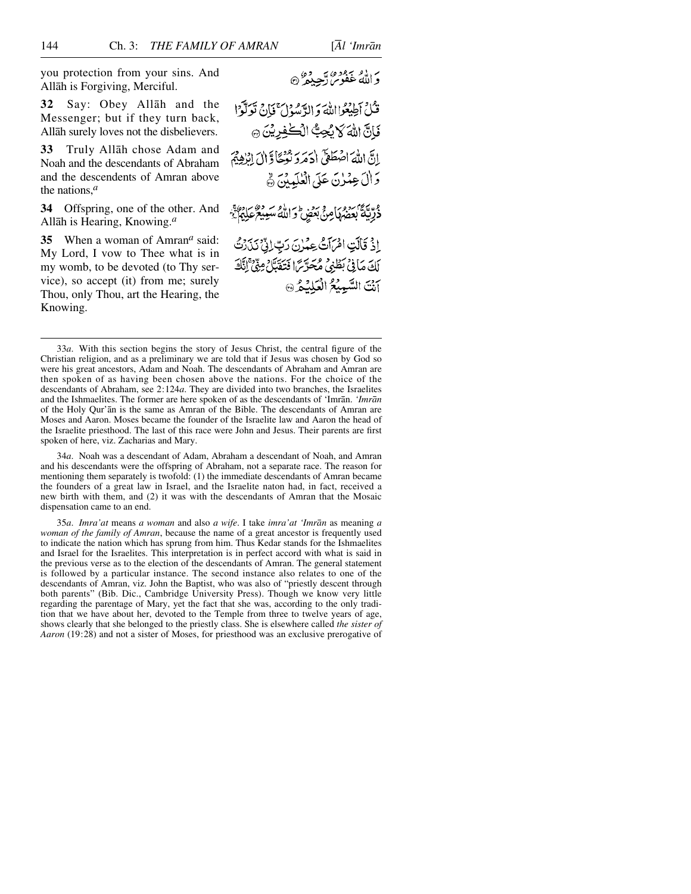you protection from your sins. And Allåh is Forgiving, Merciful.

**32** Say: Obey Allåh and the Messenger; but if they turn back, Allåh surely loves not the disbelievers.

**33** Truly Allåh chose Adam and Noah and the descendants of Abraham and the descendents of Amran above the nations,*<sup>a</sup>*

**34** Offspring, one of the other. And Allåh is Hearing, Knowing.*<sup>a</sup>*

**35** When a woman of Amran*<sup>a</sup>* said: My Lord, I vow to Thee what is in my womb, to be devoted (to Thy service), so accept (it) from me; surely Thou, only Thou, art the Hearing, the Knowing.

وَاللَّهُ غَفُوسٌ رَّحِيْقُ ۞

فَكُلِّ أَطِيعُوا اللَّهَ وَ الدَّمْيَوْلَ ۚ فَإِنَّ نَدَلَّوْا فَانَّ اللَّهَ لاَ يُحِبُّ الْكُفِرِيْنَ ۞ إِبَّي اللَّهَ اصْطَعَيْ (دَمَرَو نَعْجَادٌ إِنَّ إِنَّهُمْ وَإِلَى عِمْرِنَ عَلَى الْعُلَمِينَ ﴾ ذُرِّيَّةُ بِعَمْهَامِنَّ بَعْضٍ وَاللَّهُ سَعِيعٌ عَلِيَمٌ ۚ إِذْ قَالَتِ امْرَأَتُ عِمْرِنَ رَبِّ إِنِّي نَدَرَتَّ

لَكَ مَا فِي بَطْنِي مُحَرِّيًّا فَتَغَيَّلْ مِيَّيْ إِنَّكَ آنَتَ السَّبِيْعُ الْعَلَيْكُمْ ۞

34*a*. Noah was a descendant of Adam, Abraham a descendant of Noah, and Amran and his descendants were the offspring of Abraham, not a separate race. The reason for mentioning them separately is twofold: (1) the immediate descendants of Amran became the founders of a great law in Israel, and the Israelite naton had, in fact, received a new birth with them, and (2) it was with the descendants of Amran that the Mosaic dispensation came to an end.

35*a*. *Imra'at* means *a woman* and also *a wife*. I take *imra'at 'Imrån* as meaning *a woman of the family of Amran*, because the name of a great ancestor is frequently used to indicate the nation which has sprung from him. Thus Kedar stands for the Ishmaelites and Israel for the Israelites. This interpretation is in perfect accord with what is said in the previous verse as to the election of the descendants of Amran. The general statement is followed by a particular instance. The second instance also relates to one of the descendants of Amran, viz. John the Baptist, who was also of "priestly descent through both parents" (Bib. Dic., Cambridge University Press). Though we know very little regarding the parentage of Mary, yet the fact that she was, according to the only tradition that we have about her, devoted to the Temple from three to twelve years of age, shows clearly that she belonged to the priestly class. She is elsewhere called *the sister of Aaron* (19:28) and not a sister of Moses, for priesthood was an exclusive prerogative of

<sup>33</sup>*a*. With this section begins the story of Jesus Christ, the central figure of the Christian religion, and as a preliminary we are told that if Jesus was chosen by God so were his great ancestors, Adam and Noah. The descendants of Abraham and Amran are then spoken of as having been chosen above the nations. For the choice of the descendants of Abraham, see 2:124*a*. They are divided into two branches, the Israelites and the Ishmaelites. The former are here spoken of as the descendants of 'Imrån. *'Imrån* of the Holy Qur'ån is the same as Amran of the Bible. The descendants of Amran are Moses and Aaron. Moses became the founder of the Israelite law and Aaron the head of the Israelite priesthood. The last of this race were John and Jesus. Their parents are first spoken of here, viz. Zacharias and Mary.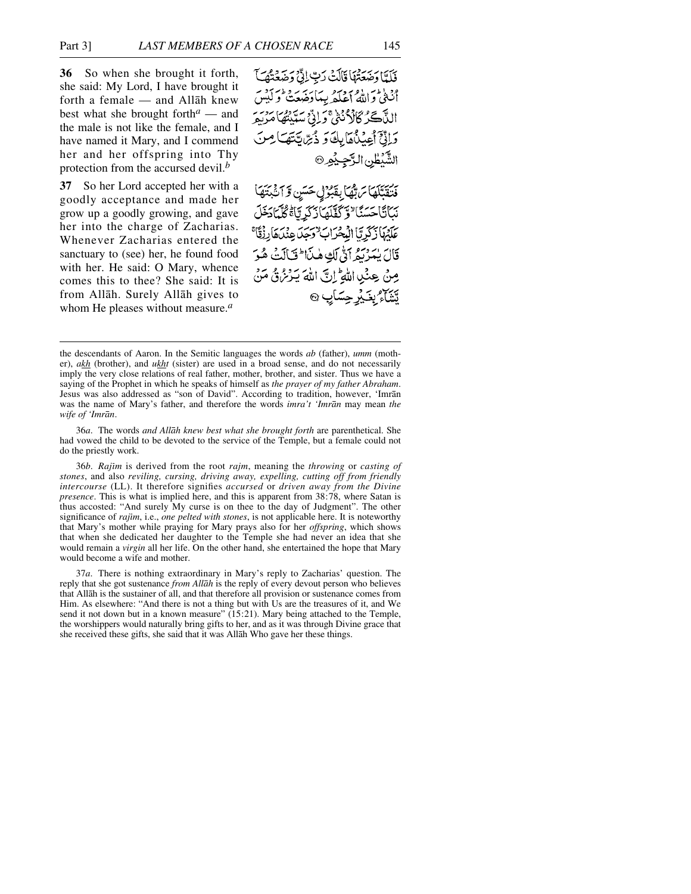**36** So when she brought it forth, she said: My Lord, I have brought it forth a female — and Allåh knew best what she brought forth*<sup>a</sup>* — and the male is not like the female, and I have named it Mary, and I commend her and her offspring into Thy protection from the accursed devil.*<sup>b</sup>*

**37** So her Lord accepted her with a goodly acceptance and made her grow up a goodly growing, and gave her into the charge of Zacharias. Whenever Zacharias entered the sanctuary to (see) her, he found food with her. He said: O Mary, whence comes this to thee? She said: It is from Allåh. Surely Allåh gives to whom He pleases without measure.*<sup>a</sup>*

فَلَعًا وَضَعَتْهَا قَالَتْ رَبِّ إِنِّي وَضَعَّتُهَا أنثى والله أعلكه ببيادئة بمفتح ليس اللَّآكَرُ كَانْ ُنَّذِجْ وَإِنِّ سَبْيِتُهَا مَرْسَرِ دَاتِيٍّ أَعِيْنَاهَا بِكَ وَ دُيِّ يَتَهَا مِنَ الشَّيْطُنِ الرَّجِيْهِ

مْنِيَّتِيْهَا مَ بِّهَا بِقَبْوَتِي حَسَنِ وَآَثَبَتَهَا نَكَأَنَا حَسَنًا لَا تَكَفَّلَهَا زَكَرِ تَاءً كُلَّمَا دَخَلَ عَلَيْهَا زَكَرِيّاً الْمُحْرَابُ وَجِدَ عِنْدَهَا رِزْقَاً قَالَ يُعَرِّبُهُمْ أَبُّى لَكِّ هٰذَا ۖ فَبَالَتْ هُوَ مِنْ عِنْدِ اللَّهِ إِنَّ اللَّهَ يَدْرُهُ ثَمَّنْ تَشَاءُ بِغَيْرِ جِسَابٍ @

36*a*. The words *and Allåh knew best what she brought forth* are parenthetical. She had vowed the child to be devoted to the service of the Temple, but a female could not do the priestly work.

36*b*. *Rajßm* is derived from the root *rajm*, meaning the *throwing* or *casting of stones*, and also *reviling, cursing, driving away, expelling, cutting off from friendly intercourse* (LL). It therefore signifies *accursed* or *driven away from the Divine presence*. This is what is implied here, and this is apparent from 38:78, where Satan is thus accosted: "And surely My curse is on thee to the day of Judgment". The other significance of *rajum*, i.e., *one pelted with stones*, is not applicable here. It is noteworthy that Mary's mother while praying for Mary prays also for her *offspring*, which shows that when she dedicated her daughter to the Temple she had never an idea that she would remain a *virgin* all her life. On the other hand, she entertained the hope that Mary would become a wife and mother.

37*a*. There is nothing extraordinary in Mary's reply to Zacharias' question. The reply that she got sustenance *from Allåh* is the reply of every devout person who believes that Allåh is the sustainer of all, and that therefore all provision or sustenance comes from Him. As elsewhere: "And there is not a thing but with Us are the treasures of it, and We send it not down but in a known measure" (15:21). Mary being attached to the Temple, the worshippers would naturally bring gifts to her, and as it was through Divine grace that she received these gifts, she said that it was Allåh Who gave her these things.

the descendants of Aaron. In the Semitic languages the words *ab* (father), *umm* (mother), *akh* (brother), and *ukht* (sister) are used in a broad sense, and do not necessarily imply the very close relations of real father, mother, brother, and sister. Thus we have a saying of the Prophet in which he speaks of himself as *the prayer of my father Abraham*. Jesus was also addressed as "son of David". According to tradition, however, 'Imrån was the name of Mary's father, and therefore the words *imra't 'Imrån* may mean *the wife of 'Imrån*.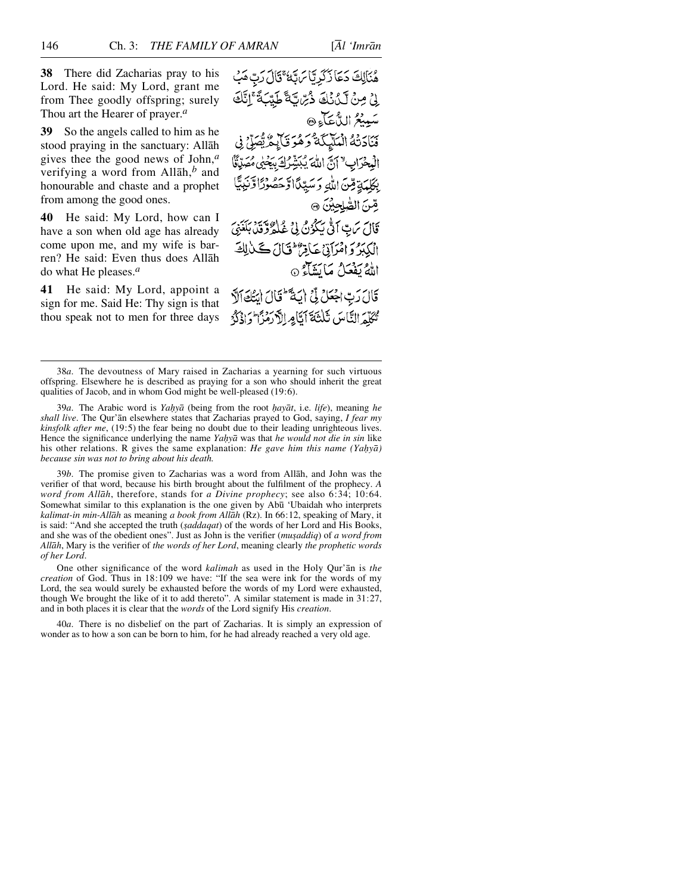**38** There did Zacharias pray to his Lord. He said: My Lord, grant me from Thee goodly offspring; surely Thou art the Hearer of prayer.*<sup>a</sup>*

**39** So the angels called to him as he stood praying in the sanctuary: Allåh gives thee the good news of John,*<sup>a</sup>* verifying a word from Allåh,*<sup>b</sup>* and honourable and chaste and a prophet from among the good ones.

**40** He said: My Lord, how can I have a son when old age has already come upon me, and my wife is barren? He said: Even thus does Allåh do what He pleases.*<sup>a</sup>*

**41** He said: My Lord, appoint a sign for me. Said He: Thy sign is that thou speak not to men for three days

هُنَالِكَ دَعَا زَكَرِيَّا مَ تَهُ ۚ قَالَ رَبَّ مَبْ لِيْ مِنْ لَكِنْكَ ذُبِّ لَّةً طَيِّبَةً ۚ إِنَّكَ سَبِيعُ الدُّعَآءِ۞ فَنَادَتْهُ الْمَلَيْكَةُ دَهْرَ فَأَبِعُ يُّصَلِّي فِي الْبِحْرَابِ " أَنَّ اللَّهَ يُبَشِّرُكَ بِيَحْيٰى مُصَدِّنَّا بِكَلِمَةٍ مِّنَ اللَّهِ وَسَيِّدًا وَحَصُوْرًا وَّنَذِ صٌ الصَّلِحِينَ ۞ وَّالَ سَ بِّ اللَّهِ سَكُونُ لِيَ عُبْلِهُ وَبِينِ رَبِّي مِ الْكِبَرُ وَامْرَاتِيْ عَاقِرٌ فَقَالَ كَلْأَلِكَ اللهُ يَفْعَلُ مَا يَتَمَاءُ ۞ قَالَ رَبِّ اجْعَلْ لِّيْ إِيَةٌ لَّتَالَ ايَتَكَاثَرَ مُمَكِّمَ النَّاسَ ثَلَثَةَ أَتَامِ الْأَرْمَزَا وَإِذْكَرَ

39*b*. The promise given to Zacharias was a word from Allåh, and John was the verifier of that word, because his birth brought about the fulfilment of the prophecy. *A word from Allåh*, therefore, stands for *a Divine prophecy*; see also 6:34; 10:64. Somewhat similar to this explanation is the one given by Abū 'Ubaidah who interprets *kalimat-in min-Allåh* as meaning *a book from Allåh* (Rz). In 66:12, speaking of Mary, it is said: "And she accepted the truth (*saddaqat*) of the words of her Lord and His Books, and she was of the obedient ones". Just as John is the verifier (*musaddiq*) of *a word from Allåh*, Mary is the verifier of *the words of her Lord*, meaning clearly *the prophetic words of her Lord*.

One other significance of the word *kalimah* as used in the Holy Qur'ån is *the creation* of God. Thus in 18:109 we have: "If the sea were ink for the words of my Lord, the sea would surely be exhausted before the words of my Lord were exhausted, though We brought the like of it to add thereto". A similar statement is made in 31:27, and in both places it is clear that the *words* of the Lord signify His *creation*.

40*a*. There is no disbelief on the part of Zacharias. It is simply an expression of wonder as to how a son can be born to him, for he had already reached a very old age.

<sup>38</sup>*a*. The devoutness of Mary raised in Zacharias a yearning for such virtuous offspring. Elsewhere he is described as praying for a son who should inherit the great qualities of Jacob, and in whom God might be well-pleased (19:6).

<sup>39</sup>*a*. The Arabic word is *Yahyā* (being from the root *hayāt*, i.e. *life*), meaning *he shall live*. The Qur'ån elsewhere states that Zacharias prayed to God, saying, *I fear my kinsfolk after me*, (19:5) the fear being no doubt due to their leading unrighteous lives. Hence the significance underlying the name *Ya√yå* was that *he would not die in sin* like his other relations. R gives the same explanation: *He gave him this name (Yahyā) because sin was not to bring about his death.*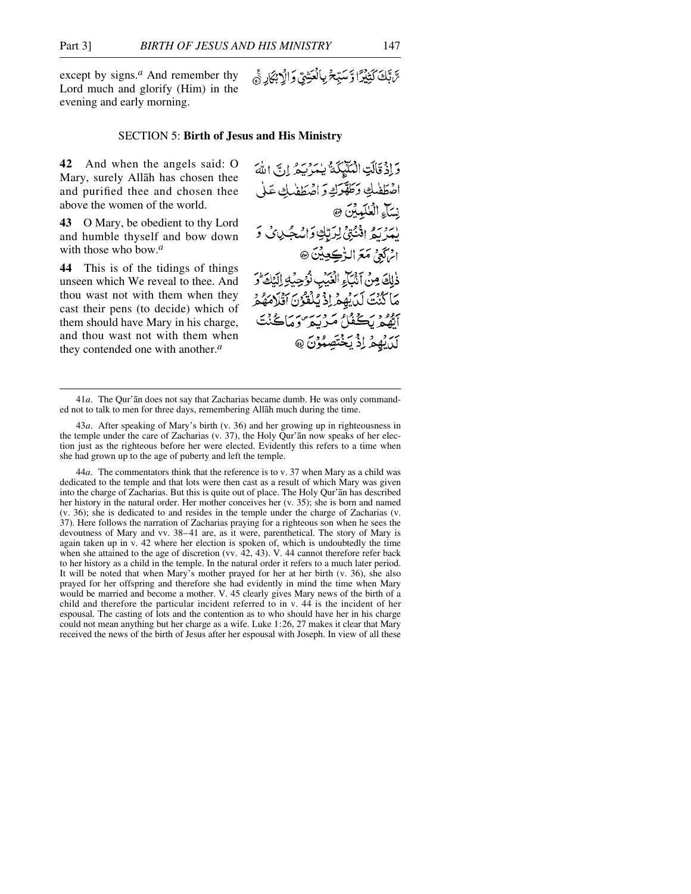except by signs.*<sup>a</sup>* And remember thy Lord much and glorify (Him) in the evening and early morning.

#### SECTION 5: **Birth of Jesus and His Ministry**

**42** And when the angels said: O Mary, surely Allåh has chosen thee and purified thee and chosen thee above the women of the world.

**43** O Mary, be obedient to thy Lord and humble thyself and bow down with those who bow.*<sup>a</sup>*

**44** This is of the tidings of things unseen which We reveal to thee. And thou wast not with them when they cast their pens (to decide) which of them should have Mary in his charge, and thou wast not with them when they contended one with another.*<sup>a</sup>*

سَّ تَكَ كَثِيْدًا وَّ سَبِّحْ بِالْعَتِيقِ وَالْاجْمَادِ جَج

وَإِذْ قَالَتِ الْمُلَيِّكَةُ يَسْرُيْهُ إِنَّ اللَّهَ اضطفله وطقرك واضطفلك ع نِسَآءِ الْعُلَمِينَ ۞ يمريع الثَّنِي لِرَّبِّكِ وَاسْجُلِيَّ وَ اثرَكَعِيْ مَعَ الرُّڪِعِيْنَ ۞ ذٰلِكَ مِنْ أَنْبَاءِ الْغَيْبِ نُوُجِيُهِ الِيَكَارُ مَا كَنْتَ لَدَيْهِمْ إِذْ يُلْقَوُنَ أَقْلَامَهُمْ أتقع بكفكاء مريبة وماكنت بَدَرْ وَمَحْتَصَبُوْنَ @

<sup>41</sup>*a*. The Qur'ån does not say that Zacharias became dumb. He was only commanded not to talk to men for three days, remembering Allåh much during the time.

<sup>43</sup>*a*. After speaking of Mary's birth (v. 36) and her growing up in righteousness in the temple under the care of Zacharias (v. 37), the Holy Qur'ån now speaks of her election just as the righteous before her were elected. Evidently this refers to a time when she had grown up to the age of puberty and left the temple.

<sup>44</sup>*a*. The commentators think that the reference is to v. 37 when Mary as a child was dedicated to the temple and that lots were then cast as a result of which Mary was given into the charge of Zacharias. But this is quite out of place. The Holy Qur'ån has described her history in the natural order. Her mother conceives her (v. 35); she is born and named (v. 36); she is dedicated to and resides in the temple under the charge of Zacharias (v. 37). Here follows the narration of Zacharias praying for a righteous son when he sees the devoutness of Mary and vv. 38–41 are, as it were, parenthetical. The story of Mary is again taken up in v. 42 where her election is spoken of, which is undoubtedly the time when she attained to the age of discretion (vv.  $42, 43$ ). V. 44 cannot therefore refer back to her history as a child in the temple. In the natural order it refers to a much later period. It will be noted that when Mary's mother prayed for her at her birth (v. 36), she also prayed for her offspring and therefore she had evidently in mind the time when Mary would be married and become a mother. V. 45 clearly gives Mary news of the birth of a child and therefore the particular incident referred to in v. 44 is the incident of her espousal. The casting of lots and the contention as to who should have her in his charge could not mean anything but her charge as a wife. Luke 1:26, 27 makes it clear that Mary received the news of the birth of Jesus after her espousal with Joseph. In view of all these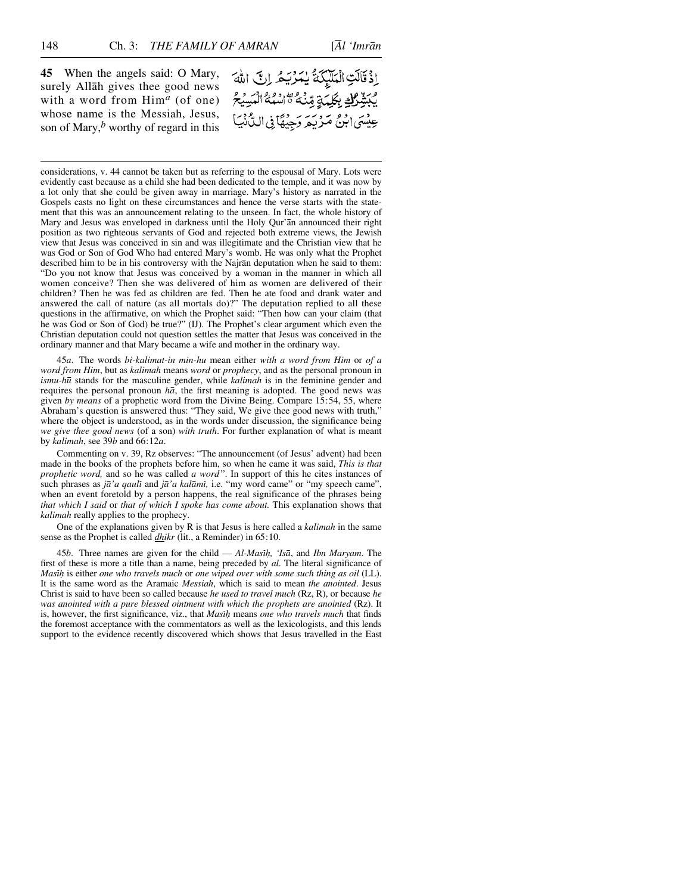**45** When the angels said: O Mary, surely Allåh gives thee good news with a word from Him*<sup>a</sup>* (of one) whose name is the Messiah, Jesus, son of Mary,*<sup>b</sup>* worthy of regard in this إِذْقَالَتِ الْمَلَيْكَةُ يُمَرُيَهُ إِنَّ اللَّهَ مِبَّقِّلِكَ بِكَلِّمَةٍ مِّنْهُ \* أَسْبُهُ الْمَسِيْحُ عِيْسَى ابْنُ مَرْيَمَ وَجِيْهَا فِى السَّنْيَا

considerations, v. 44 cannot be taken but as referring to the espousal of Mary. Lots were evidently cast because as a child she had been dedicated to the temple, and it was now by a lot only that she could be given away in marriage. Mary's history as narrated in the Gospels casts no light on these circumstances and hence the verse starts with the statement that this was an announcement relating to the unseen. In fact, the whole history of Mary and Jesus was enveloped in darkness until the Holy Qur'ån announced their right position as two righteous servants of God and rejected both extreme views, the Jewish view that Jesus was conceived in sin and was illegitimate and the Christian view that he was God or Son of God Who had entered Mary's womb. He was only what the Prophet described him to be in his controversy with the Najrån deputation when he said to them: "Do you not know that Jesus was conceived by a woman in the manner in which all women conceive? Then she was delivered of him as women are delivered of their children? Then he was fed as children are fed. Then he ate food and drank water and answered the call of nature (as all mortals do)?" The deputation replied to all these questions in the affirmative, on which the Prophet said: "Then how can your claim (that he was God or Son of God) be true?" (IJ). The Prophet's clear argument which even the Christian deputation could not question settles the matter that Jesus was conceived in the ordinary manner and that Mary became a wife and mother in the ordinary way.

45*a*. The words *bi-kalimat-in min-hu* mean either *with a word from Him* or *of a word from Him*, but as *kalimah* means *word* or *prophecy*, and as the personal pronoun in *ismu-hū* stands for the masculine gender, while *kalimah* is in the feminine gender and requires the personal pronoun *hå*, the first meaning is adopted. The good news was given *by means* of a prophetic word from the Divine Being. Compare 15:54, 55, where Abraham's question is answered thus: "They said, We give thee good news with truth," where the object is understood, as in the words under discussion, the significance being *we give thee good news* (of a son) *with truth*. For further explanation of what is meant by *kalimah*, see 39*b* and 66:12*a*.

Commenting on v. 39, Rz observes: "The announcement (of Jesus' advent) had been made in the books of the prophets before him, so when he came it was said, *This is that prophetic word,* and so he was called *a word* ". In support of this he cites instances of such phrases as *jā'a qaulī* and *jā'a kalāmī*, i.e. "my word came" or "my speech came", when an event foretold by a person happens, the real significance of the phrases being *that which I said* or *that of which I spoke has come about.* This explanation shows that *kalimah* really applies to the prophecy.

One of the explanations given by R is that Jesus is here called a *kalimah* in the same sense as the Prophet is called *dhikr* (lit., a Reminder) in 65:10.

45*b*. Three names are given for the child — *Al-Masß√, 'Iså*, and *Ibn Maryam*. The first of these is more a title than a name, being preceded by *al*. The literal significance of *Masß√* is either *one who travels much* or *one wiped over with some such thing as oil* (LL). It is the same word as the Aramaic *Messiah*, which is said to mean *the anointed*. Jesus Christ is said to have been so called because *he used to travel much* (Rz, R), or because *he was anointed with a pure blessed ointment with which the prophets are anointed* (Rz). It is, however, the first significance, viz., that *Masß√* means *one who travels much* that finds the foremost acceptance with the commentators as well as the lexicologists, and this lends support to the evidence recently discovered which shows that Jesus travelled in the East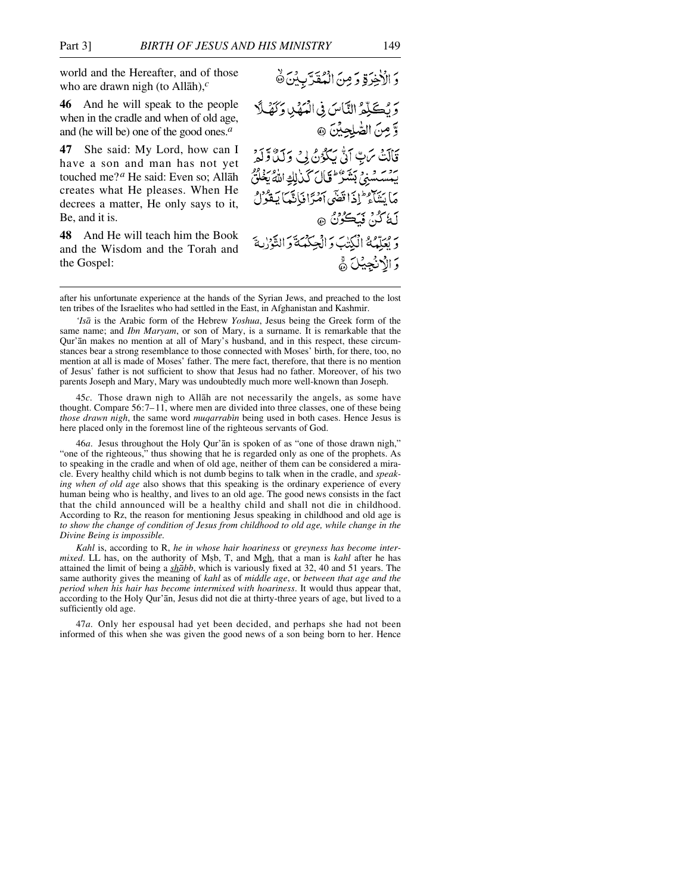world and the Hereafter, and of those who are drawn nigh (to Allåh),*<sup>c</sup>*

**46** And he will speak to the people when in the cradle and when of old age, and (he will be) one of the good ones.*<sup>a</sup>*

**47** She said: My Lord, how can I have a son and man has not yet touched me?*<sup>a</sup>* He said: Even so; Allåh creates what He pleases. When He decrees a matter, He only says to it, Be, and it is.

**48** And He will teach him the Book and the Wisdom and the Torah and the Gospel:

وَالْأَخِرَةِ وَمِنَ الْمُقَرَّبِينَ ﴾ وَبُكَذِّكُمُ النَّاسَ فِي الْعَهْدِ وَكَهْلًا وَّ مِنَ الصَّلِحِيْنَ ۞ قَالَتْ مَنِّ آنَّ يَكْوُنُ لِي وَلَدَّ وَلَوْ بِيَسْسَسْنَيْ بَشَرْٰ لِمَالَ كَيْرٰلِكِ اللَّهُ يَغْلُقُ مَا مَنْتَأْهِ ۖ إِذَا قَضَى أَمْرًا فَانَّهَا بَعْوُلُ لَةُ كُنْ فَيَكُونُ ۞ م مِرِّدْمُ الْكِتَبَ وَالْجِكْمَةَ وَالتَّوْزِيةَ وَ الْاَنْجِيْلَ ﴾

after his unfortunate experience at the hands of the Syrian Jews, and preached to the lost ten tribes of the Israelites who had settled in the East, in Afghanistan and Kashmir.

*'Iså* is the Arabic form of the Hebrew *Yoshua*, Jesus being the Greek form of the same name; and *Ibn Maryam*, or son of Mary, is a surname. It is remarkable that the Qur'ån makes no mention at all of Mary's husband, and in this respect, these circumstances bear a strong resemblance to those connected with Moses' birth, for there, too, no mention at all is made of Moses' father. The mere fact, therefore, that there is no mention of Jesus' father is not sufficient to show that Jesus had no father. Moreover, of his two parents Joseph and Mary, Mary was undoubtedly much more well-known than Joseph.

45*c*. Those drawn nigh to Allåh are not necessarily the angels, as some have thought. Compare 56:7–11, where men are divided into three classes, one of these being *those drawn nigh*, the same word *muqarrabin* being used in both cases. Hence Jesus is here placed only in the foremost line of the righteous servants of God.

46*a*. Jesus throughout the Holy Qur'ån is spoken of as "one of those drawn nigh," "one of the righteous," thus showing that he is regarded only as one of the prophets. As to speaking in the cradle and when of old age, neither of them can be considered a miracle. Every healthy child which is not dumb begins to talk when in the cradle, and *speaking when of old age* also shows that this speaking is the ordinary experience of every human being who is healthy, and lives to an old age. The good news consists in the fact that the child announced will be a healthy child and shall not die in childhood. According to Rz, the reason for mentioning Jesus speaking in childhood and old age is *to show the change of condition of Jesus from childhood to old age, while change in the Divine Being is impossible.*

*Kahl* is, according to R, *he in whose hair hoariness* or *greyness has become intermixed*. LL has, on the authority of Msb, T, and Mgh, that a man is *kahl* after he has attained the limit of being a *shåbb*, which is variously fixed at 32, 40 and 51 years. The same authority gives the meaning of *kahl* as of *middle age*, or *between that age and the period when his hair has become intermixed with hoariness*. It would thus appear that, according to the Holy Qur'ån, Jesus did not die at thirty-three years of age, but lived to a sufficiently old age.

47*a*. Only her espousal had yet been decided, and perhaps she had not been informed of this when she was given the good news of a son being born to her. Hence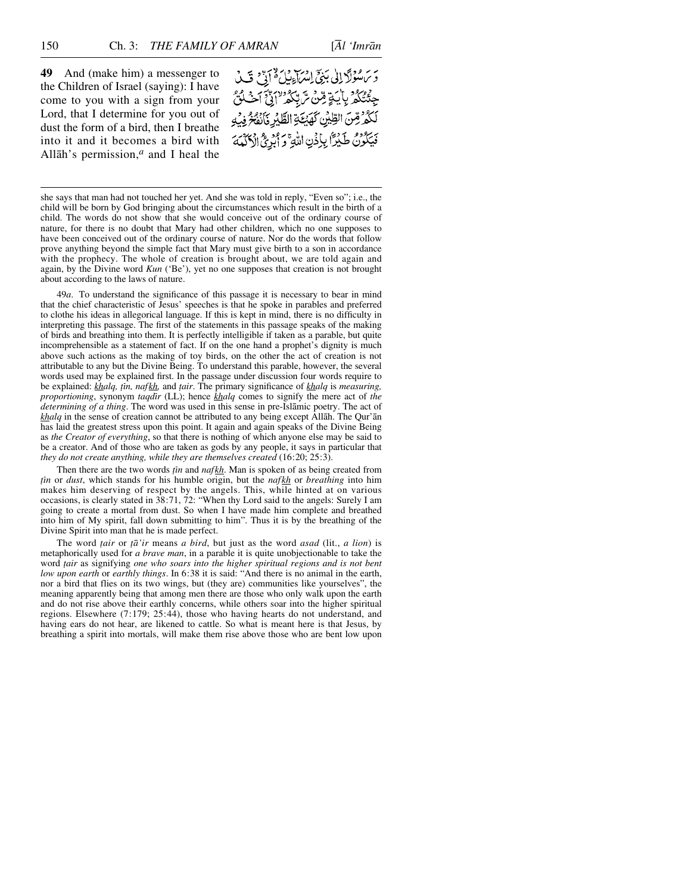**49** And (make him) a messenger to the Children of Israel (saying): I have come to you with a sign from your Lord, that I determine for you out of dust the form of a bird, then I breathe into it and it becomes a bird with Allåh's permission,*<sup>a</sup>* and I heal the

ير سر مولاً إلى بَنِيِّ إِسْرَاءِ بِلَ لَهُ أَنِّ مَنَ كَ جِئْتُكُمْ بِأَيَةٍ مِّنْ تَرَبِّكُمُ "إِنَّ أَحْلُنَّ لَكُمُّ مِّنَ الطِّيْنِ كَهَيْكَةِ الطَّيِّرِ فَأَنْفُخُ فِيْهِ فَيَكُونُ طَيْرًا بِإِذْنِ اللَّهِ وَ أَبْرِئَ الْأَكْمَةَ

she says that man had not touched her yet. And she was told in reply, "Even so"; i.e., the child will be born by God bringing about the circumstances which result in the birth of a child. The words do not show that she would conceive out of the ordinary course of nature, for there is no doubt that Mary had other children, which no one supposes to have been conceived out of the ordinary course of nature. Nor do the words that follow prove anything beyond the simple fact that Mary must give birth to a son in accordance with the prophecy. The whole of creation is brought about, we are told again and again, by the Divine word *Kun* ('Be'), yet no one supposes that creation is not brought about according to the laws of nature.

49*a*. To understand the significance of this passage it is necessary to bear in mind that the chief characteristic of Jesus' speeches is that he spoke in parables and preferred to clothe his ideas in allegorical language. If this is kept in mind, there is no difficulty in interpreting this passage. The first of the statements in this passage speaks of the making of birds and breathing into them. It is perfectly intelligible if taken as a parable, but quite incomprehensible as a statement of fact. If on the one hand a prophet's dignity is much above such actions as the making of toy birds, on the other the act of creation is not attributable to any but the Divine Being. To understand this parable, however, the several words used may be explained first. In the passage under discussion four words require to be explained: *khalq, Ƨn, nafkh,* and *∆air*. The primary significance of *khalq* is *measuring, proportioning*, synonym *taqdir* (LL); hence *khalq* comes to signify the mere act of *the determining of a thing*. The word was used in this sense in pre-Islåmic poetry. The act of *khalq* in the sense of creation cannot be attributed to any being except Allåh. The Qur'ån has laid the greatest stress upon this point. It again and again speaks of the Divine Being as *the Creator of everything*, so that there is nothing of which anyone else may be said to be a creator. And of those who are taken as gods by any people, it says in particular that *they do not create anything, while they are themselves created* (16:20; 25:3).

Then there are the two words *ṭin* and *naf kh*. Man is spoken of as being created from *Ƨn* or *dust*, which stands for his humble origin, but the *nafkh* or *breathing* into him makes him deserving of respect by the angels. This, while hinted at on various occasions, is clearly stated in 38:71, 72: "When thy Lord said to the angels: Surely I am going to create a mortal from dust. So when I have made him complete and breathed into him of My spirit, fall down submitting to him". Thus it is by the breathing of the Divine Spirit into man that he is made perfect.

The word *∆air* or *ƌ'ir* means *a bird*, but just as the word *asad* (lit., *a lion*) is metaphorically used for *a brave man*, in a parable it is quite unobjectionable to take the word *∆air* as signifying *one who soars into the higher spiritual regions and is not bent low upon earth* or *earthly things*. In 6:38 it is said: "And there is no animal in the earth, nor a bird that flies on its two wings, but (they are) communities like yourselves", the meaning apparently being that among men there are those who only walk upon the earth and do not rise above their earthly concerns, while others soar into the higher spiritual regions. Elsewhere (7:179; 25:44), those who having hearts do not understand, and having ears do not hear, are likened to cattle. So what is meant here is that Jesus, by breathing a spirit into mortals, will make them rise above those who are bent low upon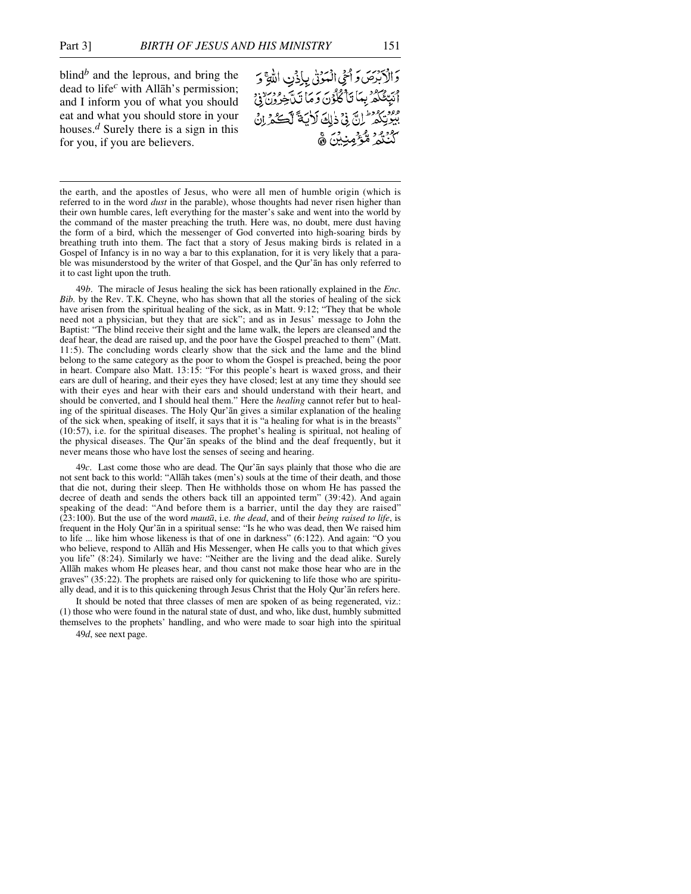blind*<sup>b</sup>* and the leprous, and bring the dead to life*<sup>c</sup>* with Allåh's permission; and I inform you of what you should eat and what you should store in your houses.*<sup>d</sup>* Surely there is a sign in this for you, if you are believers.

وَالْكَبْرَصَ وَأَحْى الْمَوْنَى بِإِذْنِ اللَّهِ وَ أَنَبِّئُكُمُ بِمَاَ تَأْكُلُونَ وَمَاَ تَنَّجْرُونَ فِيَ مور<br>بيوتِكم لِنَّ فِي ذلِكَ لَأيَةً لَكَ يَكْرِزْنَ كَنْنْتُمْ مُّؤْمِنِيْنَ ۾َ

the earth, and the apostles of Jesus, who were all men of humble origin (which is referred to in the word *dust* in the parable), whose thoughts had never risen higher than their own humble cares, left everything for the master's sake and went into the world by the command of the master preaching the truth. Here was, no doubt, mere dust having the form of a bird, which the messenger of God converted into high-soaring birds by breathing truth into them. The fact that a story of Jesus making birds is related in a Gospel of Infancy is in no way a bar to this explanation, for it is very likely that a parable was misunderstood by the writer of that Gospel, and the Qur'ån has only referred to it to cast light upon the truth.

49*b*. The miracle of Jesus healing the sick has been rationally explained in the *Enc. Bib.* by the Rev. T.K. Cheyne, who has shown that all the stories of healing of the sick have arisen from the spiritual healing of the sick, as in Matt. 9:12; "They that be whole need not a physician, but they that are sick"; and as in Jesus' message to John the Baptist: "The blind receive their sight and the lame walk, the lepers are cleansed and the deaf hear, the dead are raised up, and the poor have the Gospel preached to them" (Matt. 11:5). The concluding words clearly show that the sick and the lame and the blind belong to the same category as the poor to whom the Gospel is preached, being the poor in heart. Compare also Matt. 13:15: "For this people's heart is waxed gross, and their ears are dull of hearing, and their eyes they have closed; lest at any time they should see with their eyes and hear with their ears and should understand with their heart, and should be converted, and I should heal them." Here the *healing* cannot refer but to healing of the spiritual diseases. The Holy Qur'ån gives a similar explanation of the healing of the sick when, speaking of itself, it says that it is "a healing for what is in the breasts" (10:57), i.e. for the spiritual diseases. The prophet's healing is spiritual, not healing of the physical diseases. The Qur'ån speaks of the blind and the deaf frequently, but it never means those who have lost the senses of seeing and hearing.

49*c*. Last come those who are dead. The Qur'ån says plainly that those who die are not sent back to this world: "Allåh takes (men's) souls at the time of their death, and those that die not, during their sleep. Then He withholds those on whom He has passed the decree of death and sends the others back till an appointed term" (39:42). And again speaking of the dead: "And before them is a barrier, until the day they are raised" (23:100). But the use of the word *mautå*, i.e. *the dead*, and of their *being raised to life*, is frequent in the Holy Qur'ån in a spiritual sense: "Is he who was dead, then We raised him to life ... like him whose likeness is that of one in darkness" (6:122). And again: "O you who believe, respond to Allåh and His Messenger, when He calls you to that which gives you life" (8:24). Similarly we have: "Neither are the living and the dead alike. Surely Allåh makes whom He pleases hear, and thou canst not make those hear who are in the graves" (35:22). The prophets are raised only for quickening to life those who are spiritually dead, and it is to this quickening through Jesus Christ that the Holy Qur'ån refers here.

It should be noted that three classes of men are spoken of as being regenerated, viz.: (1) those who were found in the natural state of dust, and who, like dust, humbly submitted themselves to the prophets' handling, and who were made to soar high into the spiritual

49*d*, see next page.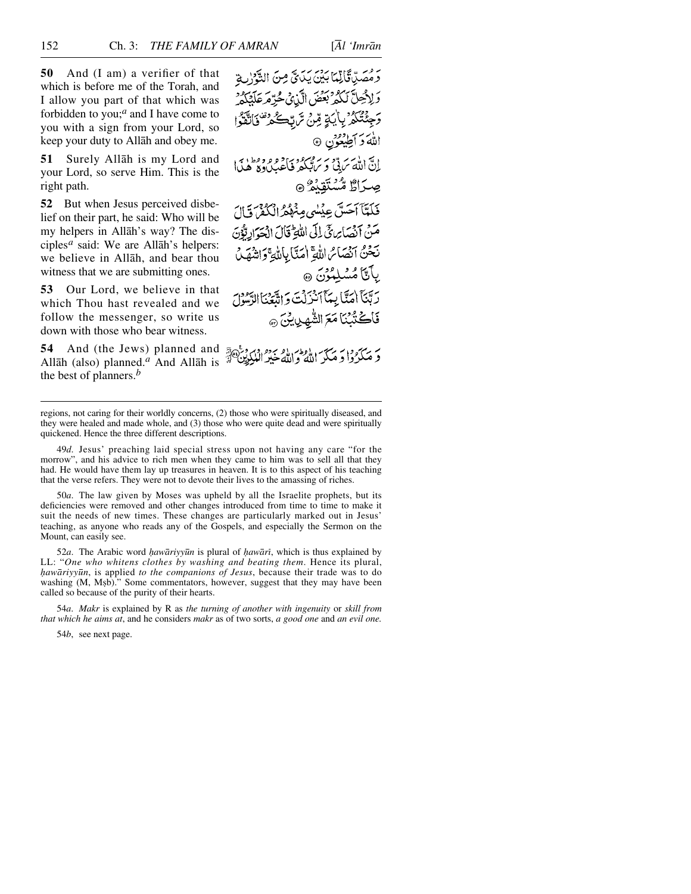**50** And (I am) a verifier of that which is before me of the Torah, and I allow you part of that which was forbidden to you;*<sup>a</sup>* and I have come to you with a sign from your Lord, so keep your duty to Allåh and obey me.

**51** Surely Allåh is my Lord and your Lord, so serve Him. This is the right path.

**52** But when Jesus perceived disbelief on their part, he said: Who will be my helpers in Allåh's way? The disciples*<sup>a</sup>* said: We are Allåh's helpers: we believe in Allåh, and bear thou witness that we are submitting ones.

**53** Our Lord, we believe in that which Thou hast revealed and we follow the messenger, so write us down with those who bear witness.

**54** And (the Jews) planned and Allåh (also) planned.*<sup>a</sup>* And Allåh is the best of planners.*<sup>b</sup>*

رَ مُسَدَّقَالِيمَا بَيْنَ بِيَدِيٍّ مِنَ الثَّوْلِ: وَلِإِجْلَّ لَكُمْ بِعَضَ الَّذِي حُرِّهِ مَالِّكُمْ وَجِئْتُكُمْ بِأَيَاةٍ مِّنْ تَرَبَّعُ تَصْلَحْدُ فَأَنَّقَوْا اللهَ دَ أُطِيعُون ۞ انَّ اللّٰہَ سَ قَّ وَ سَرُ مِهْرِ دِ وَ وَ وَ وَ وَ اِبِرِ اِ صِرَاطٌ مُّسْتَقِيْمٌ ۞ فَلَتَّآ آَحَسَّ عِيْسٰى مِنْهُمُّ الْكُفْرَ قَالَ مَنْ أَنْصَابِرِيٍّ إِلَى اللَّهِ ۖ قَالَ الْحَوَادِيُّونَ نَحْنُ أَنْصَائِ اللَّهِ إِمَنَّا بِاللَّهِ وَاشْهَلُ بِأَنَّا مُسْلِمُرْنَ ۞ رَبَّنَآ اٰمَنَّا بِيَمَآ ٱنْزَلْتَ وَ اتَّبَعْنَا الرَّسُولَ فَاكْتُبْنَا مَعَ الشَّهِينِينَ ۞

regions, not caring for their worldly concerns, (2) those who were spiritually diseased, and

they were healed and made whole, and (3) those who were quite dead and were spiritually quickened. Hence the three different descriptions.

49*d*. Jesus' preaching laid special stress upon not having any care "for the morrow", and his advice to rich men when they came to him was to sell all that they had. He would have them lay up treasures in heaven. It is to this aspect of his teaching that the verse refers. They were not to devote their lives to the amassing of riches.

50*a*. The law given by Moses was upheld by all the Israelite prophets, but its deficiencies were removed and other changes introduced from time to time to make it suit the needs of new times. These changes are particularly marked out in Jesus' teaching, as anyone who reads any of the Gospels, and especially the Sermon on the Mount, can easily see.

52*a*. The Arabic word *hawāriyyūn* is plural of *hawārī*, which is thus explained by LL: "*One who whitens clothes by washing and beating them*. Hence its plural, *√awåriyy∂n*, is applied *to the companions of Jesus*, because their trade was to do washing (M, Mşb)." Some commentators, however, suggest that they may have been called so because of the purity of their hearts.

54*a*. *Makr* is explained by R as *the turning of another with ingenuity* or *skill from that which he aims at*, and he considers *makr* as of two sorts, *a good one* and *an evil one.*

54*b*, see next page.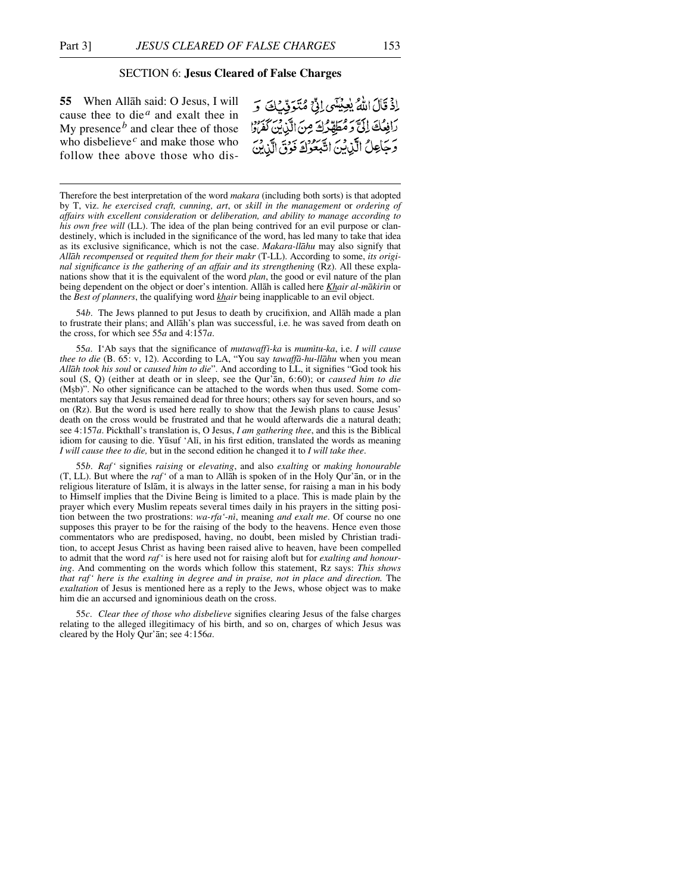## SECTION 6: **Jesus Cleared of False Charges**

**55** When Allåh said: O Jesus, I will cause thee to die<sup> $a$ </sup> and exalt thee in My presence*<sup>b</sup>* and clear thee of those who disbelieve<sup> $c$ </sup> and make those who follow thee above those who dis-

اذْ قَالَ اللَّهُ يُعِيْنَكِي إِنِّي مُتَوَفِّيْكَ وَ رَافِعُكَ إِلَيْ وَمُطَهِّرُكَ مِنَ الَّذِينَ كَفَرَادٍ وَجَاعِلُ الَّذِينَ اتَّبَعُوكَ فَوْقَ الَّذِينَ

Therefore the best interpretation of the word *makara* (including both sorts) is that adopted by T, viz. *he exercised craft, cunning, art*, or *skill in the management* or *ordering of affairs with excellent consideration* or *deliberation, and ability to manage according to his own free will* (LL). The idea of the plan being contrived for an evil purpose or clandestinely, which is included in the significance of the word, has led many to take that idea as its exclusive significance, which is not the case. *Makara-llåhu* may also signify that *Allåh recompensed* or *requited them for their makr* (T-LL). According to some, *its original significance is the gathering of an affair and its strengthening* (Rz). All these explanations show that it is the equivalent of the word *plan*, the good or evil nature of the plan being dependent on the object or doer's intention. Allåh is called here *Khair al-måkirßn* or the *Best of planners*, the qualifying word *khair* being inapplicable to an evil object.

54*b*. The Jews planned to put Jesus to death by crucifixion, and Allåh made a plan to frustrate their plans; and Allåh's plan was successful, i.e. he was saved from death on the cross, for which see 55*a* and 4:157*a*.

55*a*. I'Ab says that the significance of *mutawaffß-ka* is *mumßtu-ka*, i.e. *I will cause thee to die* (B. 65: v, 12). According to LA, "You say *tawaffå-hu-llåhu* when you mean *Allåh took his soul* or *caused him to die*". And according to LL, it signifies "God took his soul (S, Q) (either at death or in sleep, see the Qur'ån, 6:60); or *caused him to die* (M©b)". No other significance can be attached to the words when thus used. Some commentators say that Jesus remained dead for three hours; others say for seven hours, and so on (Rz). But the word is used here really to show that the Jewish plans to cause Jesus' death on the cross would be frustrated and that he would afterwards die a natural death; see 4:157*a*. Pickthall's translation is, O Jesus, *I am gathering thee*, and this is the Biblical idiom for causing to die. Y∂suf 'Alß, in his first edition, translated the words as meaning *I will cause thee to die,* but in the second edition he changed it to *I will take thee*.

55*b*. *Raf'* signifies *raising* or *elevating*, and also *exalting* or *making honourable* (T, LL). But where the *raf'* of a man to Allåh is spoken of in the Holy Qur'ån, or in the religious literature of Islåm, it is always in the latter sense, for raising a man in his body to Himself implies that the Divine Being is limited to a place. This is made plain by the prayer which every Muslim repeats several times daily in his prayers in the sitting position between the two prostrations: *wa-rfa'-nß*, meaning *and exalt me*. Of course no one supposes this prayer to be for the raising of the body to the heavens. Hence even those commentators who are predisposed, having, no doubt, been misled by Christian tradition, to accept Jesus Christ as having been raised alive to heaven, have been compelled to admit that the word *raf'* is here used not for raising aloft but for *exalting and honouring*. And commenting on the words which follow this statement, Rz says: *This shows that raf' here is the exalting in degree and in praise, not in place and direction.* The *exaltation* of Jesus is mentioned here as a reply to the Jews, whose object was to make him die an accursed and ignominious death on the cross.

55*c*. *Clear thee of those who disbelieve* signifies clearing Jesus of the false charges relating to the alleged illegitimacy of his birth, and so on, charges of which Jesus was cleared by the Holy Qur'ån; see 4:156*a*.